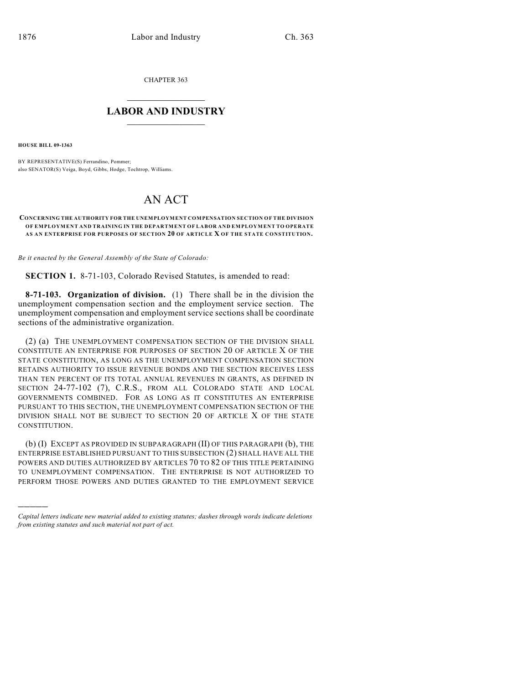CHAPTER 363

## $\mathcal{L}_\text{max}$  . The set of the set of the set of the set of the set of the set of the set of the set of the set of the set of the set of the set of the set of the set of the set of the set of the set of the set of the set **LABOR AND INDUSTRY**  $\frac{1}{\sqrt{2}}$  ,  $\frac{1}{\sqrt{2}}$  ,  $\frac{1}{\sqrt{2}}$  ,  $\frac{1}{\sqrt{2}}$  ,  $\frac{1}{\sqrt{2}}$  ,  $\frac{1}{\sqrt{2}}$

**HOUSE BILL 09-1363**

)))))

BY REPRESENTATIVE(S) Ferrandino, Pommer; also SENATOR(S) Veiga, Boyd, Gibbs, Hodge, Tochtrop, Williams.

# AN ACT

#### **CONCERNING THE AUTHORITY FOR THE UNEMPLOYMENT COMPENSATION SECTION OF THE DIVISION OF EMPLOYMENT AND TRAINING IN THE DEPARTMENT OF LABOR AND EMPLOYMENT TO OPERATE AS AN ENTERPRISE FOR PURPOSES OF SECTION 20 OF ARTICLE X OF THE STATE CONSTITUTION.**

*Be it enacted by the General Assembly of the State of Colorado:*

**SECTION 1.** 8-71-103, Colorado Revised Statutes, is amended to read:

**8-71-103. Organization of division.** (1) There shall be in the division the unemployment compensation section and the employment service section. The unemployment compensation and employment service sections shall be coordinate sections of the administrative organization.

(2) (a) THE UNEMPLOYMENT COMPENSATION SECTION OF THE DIVISION SHALL CONSTITUTE AN ENTERPRISE FOR PURPOSES OF SECTION 20 OF ARTICLE X OF THE STATE CONSTITUTION, AS LONG AS THE UNEMPLOYMENT COMPENSATION SECTION RETAINS AUTHORITY TO ISSUE REVENUE BONDS AND THE SECTION RECEIVES LESS THAN TEN PERCENT OF ITS TOTAL ANNUAL REVENUES IN GRANTS, AS DEFINED IN SECTION 24-77-102 (7), C.R.S., FROM ALL COLORADO STATE AND LOCAL GOVERNMENTS COMBINED. FOR AS LONG AS IT CONSTITUTES AN ENTERPRISE PURSUANT TO THIS SECTION, THE UNEMPLOYMENT COMPENSATION SECTION OF THE DIVISION SHALL NOT BE SUBJECT TO SECTION 20 OF ARTICLE X OF THE STATE CONSTITUTION.

(b) (I) EXCEPT AS PROVIDED IN SUBPARAGRAPH (II) OF THIS PARAGRAPH (b), THE ENTERPRISE ESTABLISHED PURSUANT TO THIS SUBSECTION (2) SHALL HAVE ALL THE POWERS AND DUTIES AUTHORIZED BY ARTICLES 70 TO 82 OF THIS TITLE PERTAINING TO UNEMPLOYMENT COMPENSATION. THE ENTERPRISE IS NOT AUTHORIZED TO PERFORM THOSE POWERS AND DUTIES GRANTED TO THE EMPLOYMENT SERVICE

*Capital letters indicate new material added to existing statutes; dashes through words indicate deletions from existing statutes and such material not part of act.*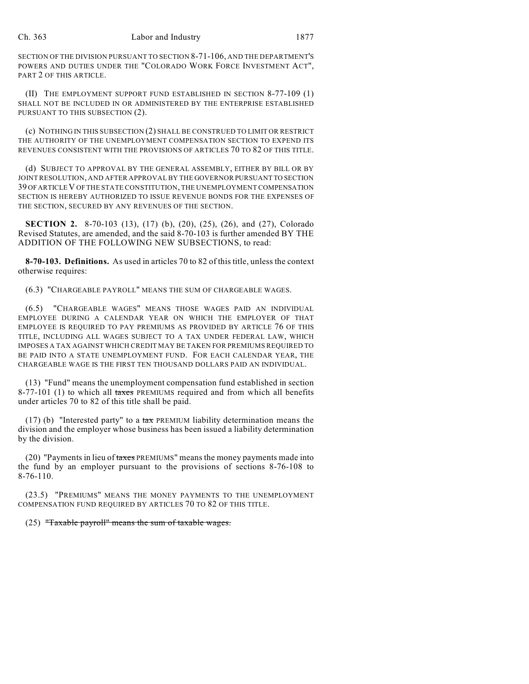SECTION OF THE DIVISION PURSUANT TO SECTION 8-71-106, AND THE DEPARTMENT'S POWERS AND DUTIES UNDER THE "COLORADO WORK FORCE INVESTMENT ACT", PART 2 OF THIS ARTICLE.

(II) THE EMPLOYMENT SUPPORT FUND ESTABLISHED IN SECTION 8-77-109 (1) SHALL NOT BE INCLUDED IN OR ADMINISTERED BY THE ENTERPRISE ESTABLISHED PURSUANT TO THIS SUBSECTION (2).

(c) NOTHING IN THIS SUBSECTION (2) SHALL BE CONSTRUED TO LIMIT OR RESTRICT THE AUTHORITY OF THE UNEMPLOYMENT COMPENSATION SECTION TO EXPEND ITS REVENUES CONSISTENT WITH THE PROVISIONS OF ARTICLES 70 TO 82 OF THIS TITLE.

(d) SUBJECT TO APPROVAL BY THE GENERAL ASSEMBLY, EITHER BY BILL OR BY JOINT RESOLUTION, AND AFTER APPROVAL BY THE GOVERNOR PURSUANT TO SECTION 39 OF ARTICLE V OF THE STATE CONSTITUTION, THE UNEMPLOYMENT COMPENSATION SECTION IS HEREBY AUTHORIZED TO ISSUE REVENUE BONDS FOR THE EXPENSES OF THE SECTION, SECURED BY ANY REVENUES OF THE SECTION.

**SECTION 2.** 8-70-103 (13), (17) (b), (20), (25), (26), and (27), Colorado Revised Statutes, are amended, and the said 8-70-103 is further amended BY THE ADDITION OF THE FOLLOWING NEW SUBSECTIONS, to read:

**8-70-103. Definitions.** As used in articles 70 to 82 of this title, unless the context otherwise requires:

(6.3) "CHARGEABLE PAYROLL" MEANS THE SUM OF CHARGEABLE WAGES.

(6.5) "CHARGEABLE WAGES" MEANS THOSE WAGES PAID AN INDIVIDUAL EMPLOYEE DURING A CALENDAR YEAR ON WHICH THE EMPLOYER OF THAT EMPLOYEE IS REQUIRED TO PAY PREMIUMS AS PROVIDED BY ARTICLE 76 OF THIS TITLE, INCLUDING ALL WAGES SUBJECT TO A TAX UNDER FEDERAL LAW, WHICH IMPOSES A TAX AGAINST WHICH CREDIT MAY BE TAKEN FOR PREMIUMS REQUIRED TO BE PAID INTO A STATE UNEMPLOYMENT FUND. FOR EACH CALENDAR YEAR, THE CHARGEABLE WAGE IS THE FIRST TEN THOUSAND DOLLARS PAID AN INDIVIDUAL.

(13) "Fund" means the unemployment compensation fund established in section 8-77-101 (1) to which all taxes PREMIUMS required and from which all benefits under articles 70 to 82 of this title shall be paid.

(17) (b) "Interested party" to a  $\text{tax}$  PREMIUM liability determination means the division and the employer whose business has been issued a liability determination by the division.

 $(20)$  "Payments in lieu of taxes PREMIUMS" means the money payments made into the fund by an employer pursuant to the provisions of sections 8-76-108 to 8-76-110.

(23.5) "PREMIUMS" MEANS THE MONEY PAYMENTS TO THE UNEMPLOYMENT COMPENSATION FUND REQUIRED BY ARTICLES 70 TO 82 OF THIS TITLE.

(25) "Taxable payroll" means the sum of taxable wages.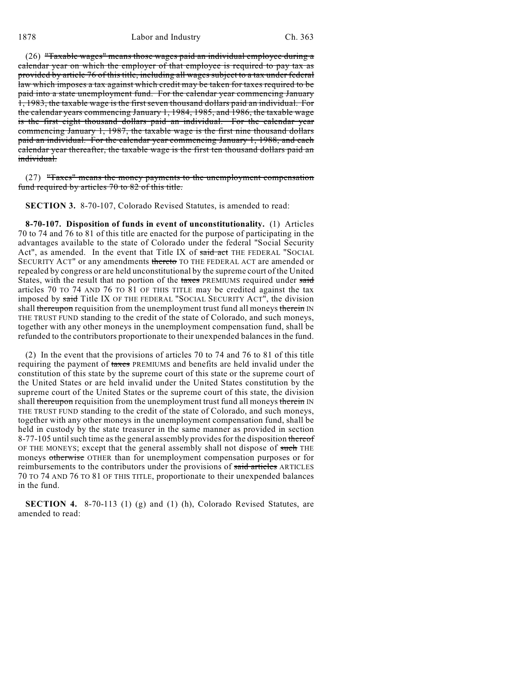(26) "Taxable wages" means those wages paid an individual employee during a calendar year on which the employer of that employee is required to pay tax as provided by article 76 of this title, including all wages subject to a tax under federal law which imposes a tax against which credit may be taken for taxes required to be paid into a state unemployment fund. For the calendar year commencing January 1, 1983, the taxable wage is the first seven thousand dollars paid an individual. For the calendar years commencing January 1, 1984, 1985, and 1986, the taxable wage is the first eight thousand dollars paid an individual. For the calendar year commencing January 1, 1987, the taxable wage is the first nine thousand dollars paid an individual. For the calendar year commencing January 1, 1988, and each calendar year thereafter, the taxable wage is the first ten thousand dollars paid an individual.

(27) "Taxes" means the money payments to the unemployment compensation fund required by articles 70 to 82 of this title.

**SECTION 3.** 8-70-107, Colorado Revised Statutes, is amended to read:

**8-70-107. Disposition of funds in event of unconstitutionality.** (1) Articles 70 to 74 and 76 to 81 of this title are enacted for the purpose of participating in the advantages available to the state of Colorado under the federal "Social Security Act", as amended. In the event that Title IX of said act THE FEDERAL "SOCIAL SECURITY ACT" or any amendments thereto TO THE FEDERAL ACT are amended or repealed by congress or are held unconstitutional by the supreme court of the United States, with the result that no portion of the taxes PREMIUMS required under said articles 70 TO 74 AND 76 TO 81 OF THIS TITLE may be credited against the tax imposed by said Title IX OF THE FEDERAL "SOCIAL SECURITY ACT", the division shall thereupon requisition from the unemployment trust fund all moneys therein IN THE TRUST FUND standing to the credit of the state of Colorado, and such moneys, together with any other moneys in the unemployment compensation fund, shall be refunded to the contributors proportionate to their unexpended balances in the fund.

(2) In the event that the provisions of articles 70 to 74 and 76 to 81 of this title requiring the payment of taxes PREMIUMS and benefits are held invalid under the constitution of this state by the supreme court of this state or the supreme court of the United States or are held invalid under the United States constitution by the supreme court of the United States or the supreme court of this state, the division shall thereupon requisition from the unemployment trust fund all moneys therein IN THE TRUST FUND standing to the credit of the state of Colorado, and such moneys, together with any other moneys in the unemployment compensation fund, shall be held in custody by the state treasurer in the same manner as provided in section 8-77-105 until such time as the general assembly provides for the disposition thereof OF THE MONEYS; except that the general assembly shall not dispose of such THE moneys otherwise OTHER than for unemployment compensation purposes or for reimbursements to the contributors under the provisions of said articles ARTICLES 70 TO 74 AND 76 TO 81 OF THIS TITLE, proportionate to their unexpended balances in the fund.

**SECTION 4.** 8-70-113 (1) (g) and (1) (h), Colorado Revised Statutes, are amended to read: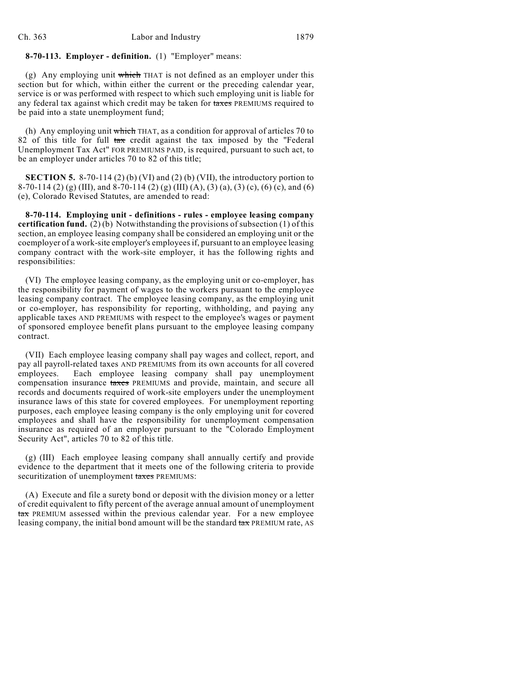## **8-70-113. Employer - definition.** (1) "Employer" means:

(g) Any employing unit which THAT is not defined as an employer under this section but for which, within either the current or the preceding calendar year, service is or was performed with respect to which such employing unit is liable for any federal tax against which credit may be taken for taxes PREMIUMS required to be paid into a state unemployment fund;

(h) Any employing unit which THAT, as a condition for approval of articles 70 to 82 of this title for full tax credit against the tax imposed by the "Federal Unemployment Tax Act" FOR PREMIUMS PAID, is required, pursuant to such act, to be an employer under articles 70 to 82 of this title;

**SECTION 5.** 8-70-114 (2) (b) (VI) and (2) (b) (VII), the introductory portion to 8-70-114 (2) (g) (III), and 8-70-114 (2) (g) (III) (A), (3) (a), (3) (c), (6) (c), and (6) (e), Colorado Revised Statutes, are amended to read:

**8-70-114. Employing unit - definitions - rules - employee leasing company certification fund.** (2) (b) Notwithstanding the provisions of subsection (1) of this section, an employee leasing company shall be considered an employing unit or the coemployer of a work-site employer's employees if, pursuant to an employee leasing company contract with the work-site employer, it has the following rights and responsibilities:

(VI) The employee leasing company, as the employing unit or co-employer, has the responsibility for payment of wages to the workers pursuant to the employee leasing company contract. The employee leasing company, as the employing unit or co-employer, has responsibility for reporting, withholding, and paying any applicable taxes AND PREMIUMS with respect to the employee's wages or payment of sponsored employee benefit plans pursuant to the employee leasing company contract.

(VII) Each employee leasing company shall pay wages and collect, report, and pay all payroll-related taxes AND PREMIUMS from its own accounts for all covered employees. Each employee leasing company shall pay unemployment compensation insurance taxes PREMIUMS and provide, maintain, and secure all records and documents required of work-site employers under the unemployment insurance laws of this state for covered employees. For unemployment reporting purposes, each employee leasing company is the only employing unit for covered employees and shall have the responsibility for unemployment compensation insurance as required of an employer pursuant to the "Colorado Employment Security Act", articles 70 to 82 of this title.

(g) (III) Each employee leasing company shall annually certify and provide evidence to the department that it meets one of the following criteria to provide securitization of unemployment taxes PREMIUMS:

(A) Execute and file a surety bond or deposit with the division money or a letter of credit equivalent to fifty percent of the average annual amount of unemployment tax PREMIUM assessed within the previous calendar year. For a new employee leasing company, the initial bond amount will be the standard  $\text{tax}$  PREMIUM rate, AS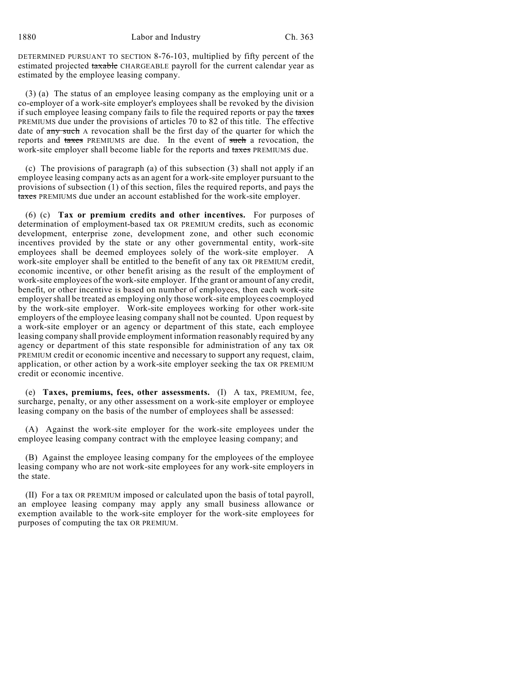DETERMINED PURSUANT TO SECTION 8-76-103, multiplied by fifty percent of the estimated projected taxable CHARGEABLE payroll for the current calendar year as estimated by the employee leasing company.

(3) (a) The status of an employee leasing company as the employing unit or a co-employer of a work-site employer's employees shall be revoked by the division if such employee leasing company fails to file the required reports or pay the taxes PREMIUMS due under the provisions of articles 70 to 82 of this title. The effective date of any such A revocation shall be the first day of the quarter for which the reports and taxes PREMIUMS are due. In the event of such a revocation, the work-site employer shall become liable for the reports and taxes PREMIUMS due.

(c) The provisions of paragraph (a) of this subsection (3) shall not apply if an employee leasing company acts as an agent for a work-site employer pursuant to the provisions of subsection (1) of this section, files the required reports, and pays the taxes PREMIUMS due under an account established for the work-site employer.

(6) (c) **Tax or premium credits and other incentives.** For purposes of determination of employment-based tax OR PREMIUM credits, such as economic development, enterprise zone, development zone, and other such economic incentives provided by the state or any other governmental entity, work-site employees shall be deemed employees solely of the work-site employer. A work-site employer shall be entitled to the benefit of any tax OR PREMIUM credit, economic incentive, or other benefit arising as the result of the employment of work-site employees of the work-site employer. If the grant or amount of any credit, benefit, or other incentive is based on number of employees, then each work-site employer shall be treated as employing only those work-site employees coemployed by the work-site employer. Work-site employees working for other work-site employers of the employee leasing company shall not be counted. Upon request by a work-site employer or an agency or department of this state, each employee leasing company shall provide employment information reasonably required by any agency or department of this state responsible for administration of any tax OR PREMIUM credit or economic incentive and necessary to support any request, claim, application, or other action by a work-site employer seeking the tax OR PREMIUM credit or economic incentive.

(e) **Taxes, premiums, fees, other assessments.** (I) A tax, PREMIUM, fee, surcharge, penalty, or any other assessment on a work-site employer or employee leasing company on the basis of the number of employees shall be assessed:

(A) Against the work-site employer for the work-site employees under the employee leasing company contract with the employee leasing company; and

(B) Against the employee leasing company for the employees of the employee leasing company who are not work-site employees for any work-site employers in the state.

(II) For a tax OR PREMIUM imposed or calculated upon the basis of total payroll, an employee leasing company may apply any small business allowance or exemption available to the work-site employer for the work-site employees for purposes of computing the tax OR PREMIUM.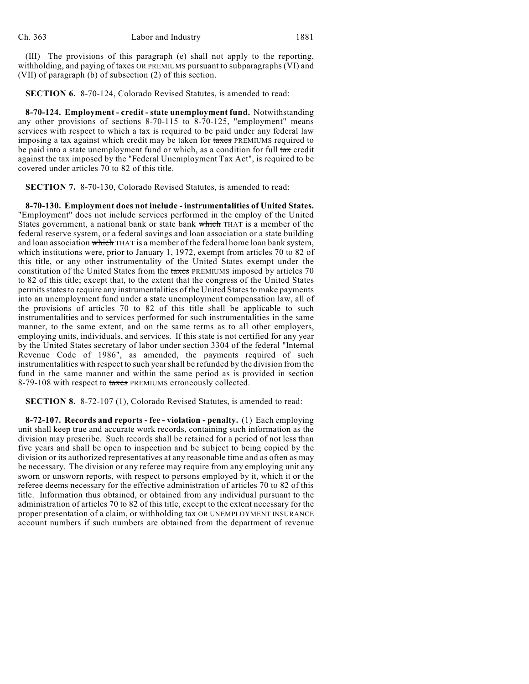(III) The provisions of this paragraph (e) shall not apply to the reporting, withholding, and paying of taxes OR PREMIUMS pursuant to subparagraphs (VI) and (VII) of paragraph (b) of subsection (2) of this section.

**SECTION 6.** 8-70-124, Colorado Revised Statutes, is amended to read:

**8-70-124. Employment - credit - state unemployment fund.** Notwithstanding any other provisions of sections 8-70-115 to 8-70-125, "employment" means services with respect to which a tax is required to be paid under any federal law imposing a tax against which credit may be taken for taxes PREMIUMS required to be paid into a state unemployment fund or which, as a condition for full tax credit against the tax imposed by the "Federal Unemployment Tax Act", is required to be covered under articles 70 to 82 of this title.

**SECTION 7.** 8-70-130, Colorado Revised Statutes, is amended to read:

**8-70-130. Employment does not include - instrumentalities of United States.** "Employment" does not include services performed in the employ of the United States government, a national bank or state bank which THAT is a member of the federal reserve system, or a federal savings and loan association or a state building and loan association which THAT is a member of the federal home loan bank system, which institutions were, prior to January 1, 1972, exempt from articles 70 to 82 of this title, or any other instrumentality of the United States exempt under the constitution of the United States from the taxes PREMIUMS imposed by articles 70 to 82 of this title; except that, to the extent that the congress of the United States permits states to require any instrumentalities of the United States to make payments into an unemployment fund under a state unemployment compensation law, all of the provisions of articles 70 to 82 of this title shall be applicable to such instrumentalities and to services performed for such instrumentalities in the same manner, to the same extent, and on the same terms as to all other employers, employing units, individuals, and services. If this state is not certified for any year by the United States secretary of labor under section 3304 of the federal "Internal Revenue Code of 1986", as amended, the payments required of such instrumentalities with respect to such year shall be refunded by the division from the fund in the same manner and within the same period as is provided in section 8-79-108 with respect to taxes PREMIUMS erroneously collected.

**SECTION 8.** 8-72-107 (1), Colorado Revised Statutes, is amended to read:

**8-72-107. Records and reports - fee - violation - penalty.** (1) Each employing unit shall keep true and accurate work records, containing such information as the division may prescribe. Such records shall be retained for a period of not less than five years and shall be open to inspection and be subject to being copied by the division or its authorized representatives at any reasonable time and as often as may be necessary. The division or any referee may require from any employing unit any sworn or unsworn reports, with respect to persons employed by it, which it or the referee deems necessary for the effective administration of articles 70 to 82 of this title. Information thus obtained, or obtained from any individual pursuant to the administration of articles 70 to 82 of this title, except to the extent necessary for the proper presentation of a claim, or withholding tax OR UNEMPLOYMENT INSURANCE account numbers if such numbers are obtained from the department of revenue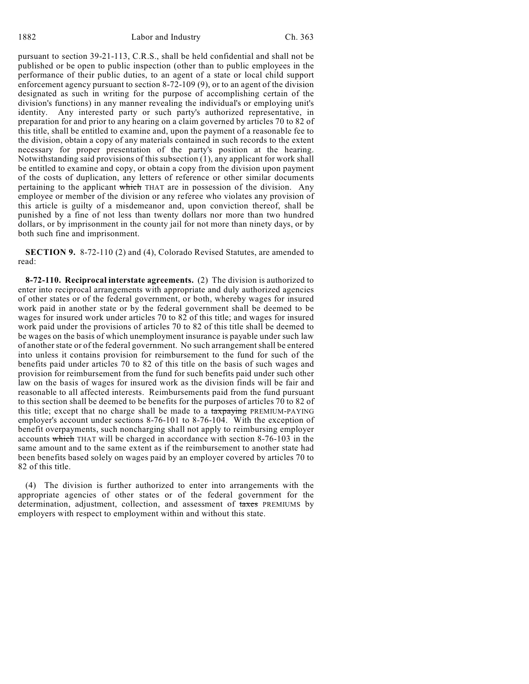pursuant to section 39-21-113, C.R.S., shall be held confidential and shall not be published or be open to public inspection (other than to public employees in the performance of their public duties, to an agent of a state or local child support enforcement agency pursuant to section 8-72-109 (9), or to an agent of the division designated as such in writing for the purpose of accomplishing certain of the division's functions) in any manner revealing the individual's or employing unit's identity. Any interested party or such party's authorized representative, in preparation for and prior to any hearing on a claim governed by articles 70 to 82 of this title, shall be entitled to examine and, upon the payment of a reasonable fee to the division, obtain a copy of any materials contained in such records to the extent necessary for proper presentation of the party's position at the hearing. Notwithstanding said provisions of this subsection (1), any applicant for work shall be entitled to examine and copy, or obtain a copy from the division upon payment of the costs of duplication, any letters of reference or other similar documents pertaining to the applicant which THAT are in possession of the division. Any employee or member of the division or any referee who violates any provision of this article is guilty of a misdemeanor and, upon conviction thereof, shall be punished by a fine of not less than twenty dollars nor more than two hundred dollars, or by imprisonment in the county jail for not more than ninety days, or by both such fine and imprisonment.

**SECTION 9.** 8-72-110 (2) and (4), Colorado Revised Statutes, are amended to read:

**8-72-110. Reciprocal interstate agreements.** (2) The division is authorized to enter into reciprocal arrangements with appropriate and duly authorized agencies of other states or of the federal government, or both, whereby wages for insured work paid in another state or by the federal government shall be deemed to be wages for insured work under articles 70 to 82 of this title; and wages for insured work paid under the provisions of articles 70 to 82 of this title shall be deemed to be wages on the basis of which unemployment insurance is payable under such law of another state or of the federal government. No such arrangement shall be entered into unless it contains provision for reimbursement to the fund for such of the benefits paid under articles 70 to 82 of this title on the basis of such wages and provision for reimbursement from the fund for such benefits paid under such other law on the basis of wages for insured work as the division finds will be fair and reasonable to all affected interests. Reimbursements paid from the fund pursuant to this section shall be deemed to be benefits for the purposes of articles 70 to 82 of this title; except that no charge shall be made to a taxpaying PREMIUM-PAYING employer's account under sections 8-76-101 to 8-76-104. With the exception of benefit overpayments, such noncharging shall not apply to reimbursing employer accounts which THAT will be charged in accordance with section 8-76-103 in the same amount and to the same extent as if the reimbursement to another state had been benefits based solely on wages paid by an employer covered by articles 70 to 82 of this title.

(4) The division is further authorized to enter into arrangements with the appropriate agencies of other states or of the federal government for the determination, adjustment, collection, and assessment of taxes PREMIUMS by employers with respect to employment within and without this state.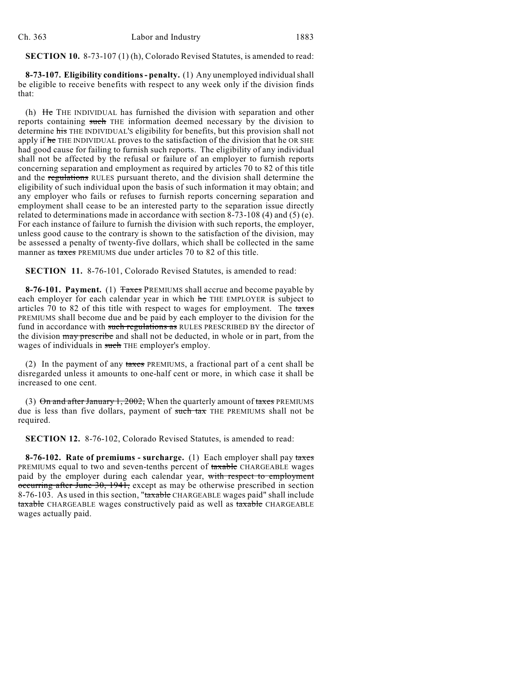**SECTION 10.** 8-73-107 (1) (h), Colorado Revised Statutes, is amended to read:

**8-73-107. Eligibility conditions - penalty.** (1) Any unemployed individual shall be eligible to receive benefits with respect to any week only if the division finds that:

(h) He THE INDIVIDUAL has furnished the division with separation and other reports containing such THE information deemed necessary by the division to determine his THE INDIVIDUAL'S eligibility for benefits, but this provision shall not apply if he THE INDIVIDUAL proves to the satisfaction of the division that he OR SHE had good cause for failing to furnish such reports. The eligibility of any individual shall not be affected by the refusal or failure of an employer to furnish reports concerning separation and employment as required by articles 70 to 82 of this title and the regulations RULES pursuant thereto, and the division shall determine the eligibility of such individual upon the basis of such information it may obtain; and any employer who fails or refuses to furnish reports concerning separation and employment shall cease to be an interested party to the separation issue directly related to determinations made in accordance with section 8-73-108 (4) and (5) (e). For each instance of failure to furnish the division with such reports, the employer, unless good cause to the contrary is shown to the satisfaction of the division, may be assessed a penalty of twenty-five dollars, which shall be collected in the same manner as taxes PREMIUMS due under articles 70 to 82 of this title.

**SECTION 11.** 8-76-101, Colorado Revised Statutes, is amended to read:

**8-76-101. Payment.** (1) Taxes PREMIUMS shall accrue and become payable by each employer for each calendar year in which he THE EMPLOYER is subject to articles  $70$  to 82 of this title with respect to wages for employment. The taxes PREMIUMS shall become due and be paid by each employer to the division for the fund in accordance with such regulations as RULES PRESCRIBED BY the director of the division may prescribe and shall not be deducted, in whole or in part, from the wages of individuals in such THE employer's employ.

(2) In the payment of any taxes PREMIUMS, a fractional part of a cent shall be disregarded unless it amounts to one-half cent or more, in which case it shall be increased to one cent.

(3)  $\Theta$ n and after January 1, 2002, When the quarterly amount of taxes PREMIUMS due is less than five dollars, payment of such tax THE PREMIUMS shall not be required.

**SECTION 12.** 8-76-102, Colorado Revised Statutes, is amended to read:

**8-76-102. Rate of premiums - surcharge.** (1) Each employer shall pay taxes PREMIUMS equal to two and seven-tenths percent of taxable CHARGEABLE wages paid by the employer during each calendar year, with respect to employment occurring after June 30, 1941, except as may be otherwise prescribed in section 8-76-103. As used in this section, "taxable CHARGEABLE wages paid" shall include taxable CHARGEABLE wages constructively paid as well as taxable CHARGEABLE wages actually paid.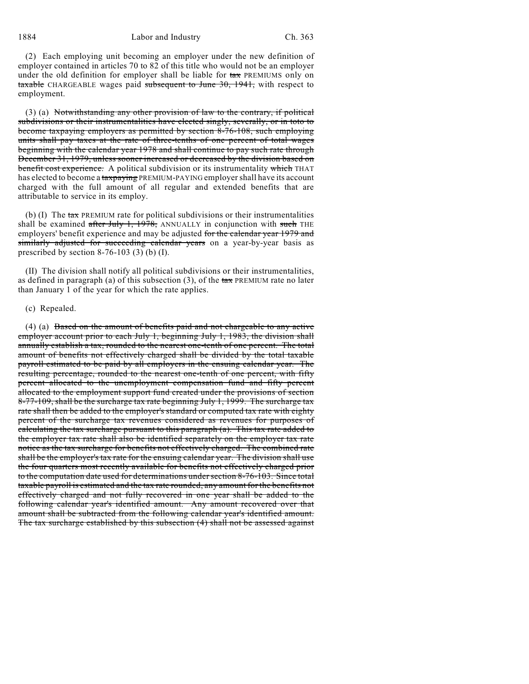(2) Each employing unit becoming an employer under the new definition of employer contained in articles 70 to 82 of this title who would not be an employer under the old definition for employer shall be liable for  $\frac{1}{4}$  PREMIUMS only on taxable CHARGEABLE wages paid subsequent to June 30, 1941, with respect to employment.

(3) (a) Notwithstanding any other provision of law to the contrary, if political subdivisions or their instrumentalities have elected singly, severally, or in toto to become taxpaying employers as permitted by section 8-76-108, such employing units shall pay taxes at the rate of three-tenths of one percent of total wages beginning with the calendar year 1978 and shall continue to pay such rate through December 31, 1979, unless sooner increased or decreased by the division based on benefit cost experience. A political subdivision or its instrumentality which THAT has elected to become a taxpaying PREMIUM-PAYING employer shall have its account charged with the full amount of all regular and extended benefits that are attributable to service in its employ.

(b) (I) The  $\frac{\tan x}{\tan x}$  PREMIUM rate for political subdivisions or their instrumentalities shall be examined after July 1, 1978, ANNUALLY in conjunction with such THE employers' benefit experience and may be adjusted for the calendar year 1979 and similarly adjusted for succeeding calendar years on a year-by-year basis as prescribed by section 8-76-103 (3) (b) (I).

(II) The division shall notify all political subdivisions or their instrumentalities, as defined in paragraph (a) of this subsection (3), of the  $\text{tax}$  PREMIUM rate no later than January 1 of the year for which the rate applies.

#### (c) Repealed.

(4) (a) Based on the amount of benefits paid and not chargeable to any active employer account prior to each July 1, beginning July 1, 1983, the division shall annually establish a tax, rounded to the nearest one-tenth of one percent. The total amount of benefits not effectively charged shall be divided by the total taxable payroll estimated to be paid by all employers in the ensuing calendar year. The resulting percentage, rounded to the nearest one-tenth of one percent, with fifty percent allocated to the unemployment compensation fund and fifty percent allocated to the employment support fund created under the provisions of section 8-77-109, shall be the surcharge tax rate beginning July 1, 1999. The surcharge tax rate shall then be added to the employer's standard or computed tax rate with eighty percent of the surcharge tax revenues considered as revenues for purposes of calculating the tax surcharge pursuant to this paragraph (a). This tax rate added to the employer tax rate shall also be identified separately on the employer tax rate notice as the tax surcharge for benefits not effectively charged. The combined rate shall be the employer's tax rate for the ensuing calendar year. The division shall use the four quarters most recently available for benefits not effectively charged prior to the computation date used for determinations undersection 8-76-103. Since total taxable payroll is estimated and the tax rate rounded, any amount for the benefits not effectively charged and not fully recovered in one year shall be added to the following calendar year's identified amount. Any amount recovered over that amount shall be subtracted from the following calendar year's identified amount. The tax surcharge established by this subsection (4) shall not be assessed against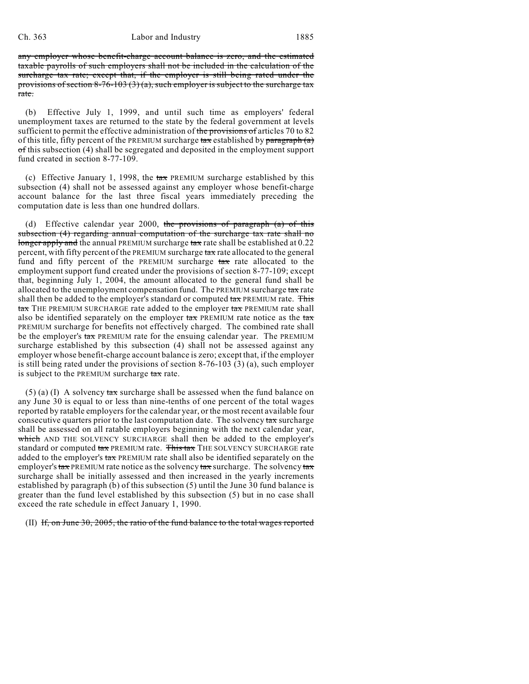#### Ch. 363 Labor and Industry 1885

any employer whose benefit-charge account balance is zero, and the estimated taxable payrolls of such employers shall not be included in the calculation of the surcharge tax rate; except that, if the employer is still being rated under the provisions of section 8-76-103 (3) (a), such employer is subject to the surcharge tax rate.

(b) Effective July 1, 1999, and until such time as employers' federal unemployment taxes are returned to the state by the federal government at levels sufficient to permit the effective administration of the provisions of articles 70 to 82 of this title, fifty percent of the PREMIUM surcharge  $\frac{\tan x}{\tan x}$  established by  $\frac{\tan x}{\tan x}$ of this subsection (4) shall be segregated and deposited in the employment support fund created in section 8-77-109.

(c) Effective January 1, 1998, the  $\frac{1}{4}$  PREMIUM surcharge established by this subsection (4) shall not be assessed against any employer whose benefit-charge account balance for the last three fiscal years immediately preceding the computation date is less than one hundred dollars.

(d) Effective calendar year 2000, the provisions of paragraph (a) of this subsection (4) regarding annual computation of the surcharge tax rate shall no longer apply and the annual PREMIUM surcharge tax rate shall be established at 0.22 percent, with fifty percent of the PREMIUM surcharge tax rate allocated to the general fund and fifty percent of the PREMIUM surcharge tax rate allocated to the employment support fund created under the provisions of section 8-77-109; except that, beginning July 1, 2004, the amount allocated to the general fund shall be allocated to the unemployment compensation fund. The PREMIUM surcharge  $\text{tax rate}$ shall then be added to the employer's standard or computed tax PREMIUM rate. This tax THE PREMIUM SURCHARGE rate added to the employer tax PREMIUM rate shall also be identified separately on the employer  $\text{tax}$  PREMIUM rate notice as the  $\text{tax}$ PREMIUM surcharge for benefits not effectively charged. The combined rate shall be the employer's tax PREMIUM rate for the ensuing calendar year. The PREMIUM surcharge established by this subsection (4) shall not be assessed against any employer whose benefit-charge account balance is zero; except that, if the employer is still being rated under the provisions of section 8-76-103 (3) (a), such employer is subject to the PREMIUM surcharge tax rate.

 $(5)$  (a) (I) A solvency tax surcharge shall be assessed when the fund balance on any June 30 is equal to or less than nine-tenths of one percent of the total wages reported by ratable employers for the calendar year, or the most recent available four consecutive quarters prior to the last computation date. The solvency  $\frac{\tan x}{\tan x}$  surcharge shall be assessed on all ratable employers beginning with the next calendar year, which AND THE SOLVENCY SURCHARGE shall then be added to the employer's standard or computed tax PREMIUM rate. This tax THE SOLVENCY SURCHARGE rate added to the employer's tax PREMIUM rate shall also be identified separately on the employer's  $\frac{\text{tax}}{\text{PREMIUM}}$  rate notice as the solvency  $\frac{\text{tax}}{\text{tax}}$  surcharge. The solvency  $\frac{\text{tax}}{\text{tax}}$ surcharge shall be initially assessed and then increased in the yearly increments established by paragraph (b) of this subsection (5) until the June 30 fund balance is greater than the fund level established by this subsection (5) but in no case shall exceed the rate schedule in effect January 1, 1990.

## (II) If, on June 30, 2005, the ratio of the fund balance to the total wages reported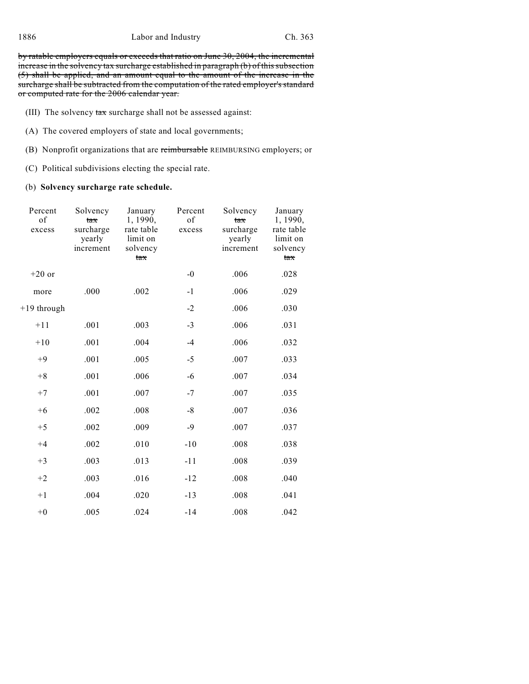by ratable employers equals or exceeds that ratio on June 30, 2004, the incremental increase in the solvency tax surcharge established in paragraph (b) of this subsection (5) shall be applied, and an amount equal to the amount of the increase in the surcharge shall be subtracted from the computation of the rated employer's standard or computed rate for the 2006 calendar year.

- (III) The solvency tax surcharge shall not be assessed against:
- (A) The covered employers of state and local governments;
- (B) Nonprofit organizations that are reimbursable REIMBURSING employers; or
- (C) Political subdivisions electing the special rate.

## (b) **Solvency surcharge rate schedule.**

| Percent<br>of<br>excess | Solvency<br>tax<br>surcharge<br>yearly<br>increment | January<br>1, 1990,<br>rate table<br>limit on<br>solvency<br>tax | Percent<br>of<br>excess | Solvency<br>tax<br>surcharge<br>yearly<br>increment | January<br>1, 1990,<br>rate table<br>limit on<br>solvency<br>tax |
|-------------------------|-----------------------------------------------------|------------------------------------------------------------------|-------------------------|-----------------------------------------------------|------------------------------------------------------------------|
| $+20$ or                |                                                     |                                                                  | $-0$                    | .006                                                | .028                                                             |
| more                    | .000                                                | .002                                                             | $-1$                    | .006                                                | .029                                                             |
| +19 through             |                                                     |                                                                  | $-2$                    | .006                                                | .030                                                             |
| $+11$                   | .001                                                | .003                                                             | $-3$                    | .006                                                | .031                                                             |
| $+10$                   | .001                                                | .004                                                             | $-4$                    | .006                                                | .032                                                             |
| $+9$                    | .001                                                | .005                                                             | $-5$                    | .007                                                | .033                                                             |
| $+8$                    | .001                                                | .006                                                             | -6                      | .007                                                | .034                                                             |
| $+7$                    | .001                                                | .007                                                             | $-7$                    | .007                                                | .035                                                             |
| $+6$                    | .002                                                | .008                                                             | $-8$                    | .007                                                | .036                                                             |
| $+5$                    | .002                                                | .009                                                             | -9                      | .007                                                | .037                                                             |
| $+4$                    | .002                                                | .010                                                             | $-10$                   | .008                                                | .038                                                             |
| $+3$                    | .003                                                | .013                                                             | $-11$                   | .008                                                | .039                                                             |
| $+2$                    | .003                                                | .016                                                             | $-12$                   | $.008$                                              | .040                                                             |
| $+1$                    | .004                                                | .020                                                             | $-13$                   | .008                                                | .041                                                             |
| $+0$                    | .005                                                | .024                                                             | $-14$                   | .008                                                | .042                                                             |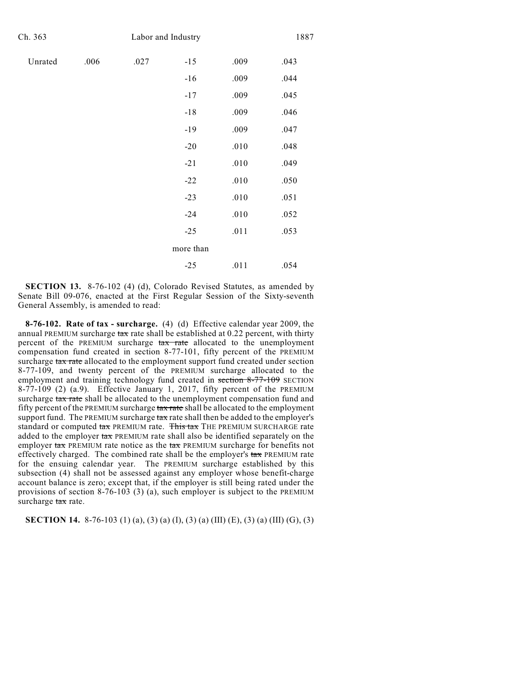| Ch. 363 |      |      | Labor and Industry |        |      |  |  |  |
|---------|------|------|--------------------|--------|------|--|--|--|
| Unrated | .006 | .027 | $-15$              | .009   | .043 |  |  |  |
|         |      |      | $-16$              | .009   | .044 |  |  |  |
|         |      |      | $-17$              | .009   | .045 |  |  |  |
|         |      |      | $-18$              | .009   | .046 |  |  |  |
|         |      |      | $-19$              | .009   | .047 |  |  |  |
|         |      |      | $-20$              | $.010$ | .048 |  |  |  |
|         |      |      | $-21$              | .010   | .049 |  |  |  |
|         |      |      | $-22$              | $.010$ | .050 |  |  |  |
|         |      |      | $-23$              | $.010$ | .051 |  |  |  |
|         |      |      | $-24$              | $.010$ | .052 |  |  |  |
|         |      |      | $-25$              | .011   | .053 |  |  |  |
|         |      |      | more than          |        |      |  |  |  |
|         |      |      | $-25$              | .011   | .054 |  |  |  |
|         |      |      |                    |        |      |  |  |  |

**SECTION 13.** 8-76-102 (4) (d), Colorado Revised Statutes, as amended by Senate Bill 09-076, enacted at the First Regular Session of the Sixty-seventh General Assembly, is amended to read:

**8-76-102. Rate of tax - surcharge.** (4) (d) Effective calendar year 2009, the annual PREMIUM surcharge  $\tanctan$  rate shall be established at 0.22 percent, with thirty percent of the PREMIUM surcharge tax rate allocated to the unemployment compensation fund created in section 8-77-101, fifty percent of the PREMIUM surcharge tax rate allocated to the employment support fund created under section 8-77-109, and twenty percent of the PREMIUM surcharge allocated to the employment and training technology fund created in section 8-77-109 SECTION  $8-77-109$  (2) (a.9). Effective January 1, 2017, fifty percent of the PREMIUM surcharge tax rate shall be allocated to the unemployment compensation fund and fifty percent of the PREMIUM surcharge tax rate shall be allocated to the employment support fund. The PREMIUM surcharge  $\frac{\tan x}{\tan x}$  rate shall then be added to the employer's standard or computed tax PREMIUM rate. This tax THE PREMIUM SURCHARGE rate added to the employer tax PREMIUM rate shall also be identified separately on the employer  $\text{tax}$  PREMIUM rate notice as the  $\text{tax}$  PREMIUM surcharge for benefits not effectively charged. The combined rate shall be the employer's  $\text{tax}$  PREMIUM rate for the ensuing calendar year. The PREMIUM surcharge established by this subsection (4) shall not be assessed against any employer whose benefit-charge account balance is zero; except that, if the employer is still being rated under the provisions of section 8-76-103 (3) (a), such employer is subject to the PREMIUM surcharge tax rate.

**SECTION 14.** 8-76-103 (1) (a), (3) (a) (I), (3) (a) (III) (E), (3) (a) (III) (G), (3)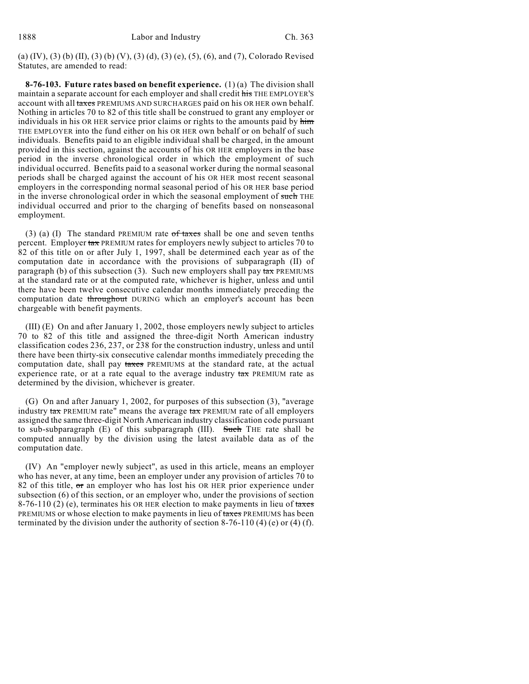(a) (IV), (3) (b) (II), (3) (b) (V), (3) (d), (3) (e), (5), (6), and (7), Colorado Revised Statutes, are amended to read:

**8-76-103. Future rates based on benefit experience.** (1) (a) The division shall maintain a separate account for each employer and shall credit his THE EMPLOYER'S account with all taxes PREMIUMS AND SURCHARGES paid on his OR HER own behalf. Nothing in articles 70 to 82 of this title shall be construed to grant any employer or individuals in his OR HER service prior claims or rights to the amounts paid by him THE EMPLOYER into the fund either on his OR HER own behalf or on behalf of such individuals. Benefits paid to an eligible individual shall be charged, in the amount provided in this section, against the accounts of his OR HER employers in the base period in the inverse chronological order in which the employment of such individual occurred. Benefits paid to a seasonal worker during the normal seasonal periods shall be charged against the account of his OR HER most recent seasonal employers in the corresponding normal seasonal period of his OR HER base period in the inverse chronological order in which the seasonal employment of such THE individual occurred and prior to the charging of benefits based on nonseasonal employment.

(3) (a) (I) The standard PREMIUM rate  $of$  taxes shall be one and seven tenths percent. Employer tax PREMIUM rates for employers newly subject to articles 70 to 82 of this title on or after July 1, 1997, shall be determined each year as of the computation date in accordance with the provisions of subparagraph (II) of paragraph (b) of this subsection (3). Such new employers shall pay  $\frac{1}{4}$  PREMIUMS at the standard rate or at the computed rate, whichever is higher, unless and until there have been twelve consecutive calendar months immediately preceding the computation date throughout DURING which an employer's account has been chargeable with benefit payments.

(III) (E) On and after January 1, 2002, those employers newly subject to articles 70 to 82 of this title and assigned the three-digit North American industry classification codes 236, 237, or 238 for the construction industry, unless and until there have been thirty-six consecutive calendar months immediately preceding the computation date, shall pay taxes PREMIUMS at the standard rate, at the actual experience rate, or at a rate equal to the average industry  $\text{tax}$  PREMIUM rate as determined by the division, whichever is greater.

(G) On and after January 1, 2002, for purposes of this subsection (3), "average industry tax PREMIUM rate" means the average tax PREMIUM rate of all employers assigned the same three-digit North American industry classification code pursuant to sub-subparagraph  $(E)$  of this subparagraph  $(III)$ . Such THE rate shall be computed annually by the division using the latest available data as of the computation date.

(IV) An "employer newly subject", as used in this article, means an employer who has never, at any time, been an employer under any provision of articles 70 to 82 of this title,  $\sigma$  an employer who has lost his OR HER prior experience under subsection (6) of this section, or an employer who, under the provisions of section 8-76-110 (2) (e), terminates his OR HER election to make payments in lieu of taxes PREMIUMS or whose election to make payments in lieu of taxes PREMIUMS has been terminated by the division under the authority of section  $8-76-110(4)$  (e) or (4) (f).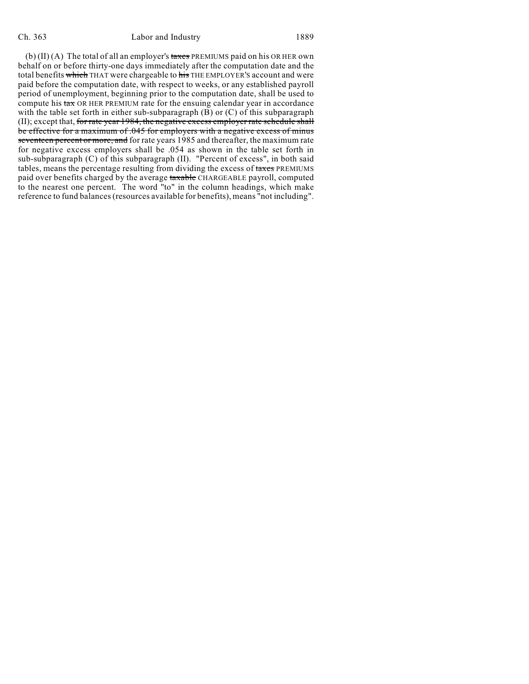#### Ch. 363 Labor and Industry 1889

(b)  $(II)$  (A) The total of all an employer's taxes PREMIUMS paid on his OR HER own behalf on or before thirty-one days immediately after the computation date and the total benefits which THAT were chargeable to his THE EMPLOYER'S account and were paid before the computation date, with respect to weeks, or any established payroll period of unemployment, beginning prior to the computation date, shall be used to compute his tax OR HER PREMIUM rate for the ensuing calendar year in accordance with the table set forth in either sub-subparagraph (B) or (C) of this subparagraph (II); except that, for rate year 1984, the negative excess employer rate schedule shall be effective for a maximum of .045 for employers with a negative excess of minus seventeen percent or more, and for rate years 1985 and thereafter, the maximum rate for negative excess employers shall be .054 as shown in the table set forth in sub-subparagraph (C) of this subparagraph (II). "Percent of excess", in both said tables, means the percentage resulting from dividing the excess of taxes PREMIUMS paid over benefits charged by the average taxable CHARGEABLE payroll, computed to the nearest one percent. The word "to" in the column headings, which make reference to fund balances (resources available for benefits), means "not including".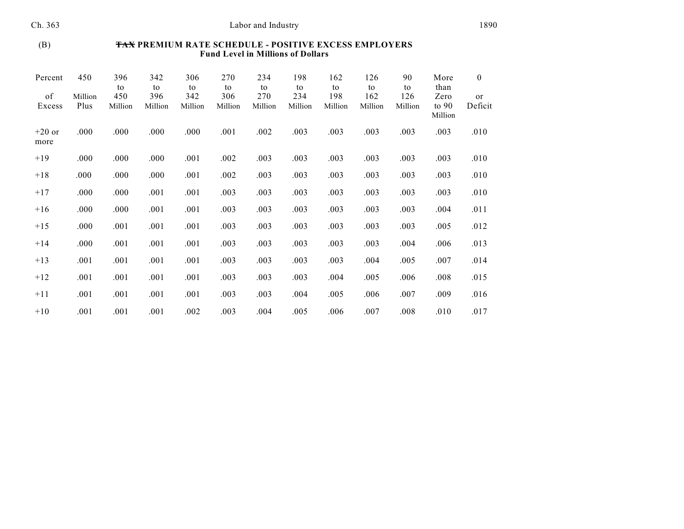## (B) **TAX PREMIUM RATE SCHEDULE - POSITIVE EXCESS EMPLOYERS Fund Level in Millions of Dollars**

| Percent          | 450             | 396<br>to      | 342<br>to      | 306<br>to      | 270<br>to      | 234<br>to      | 198<br>to      | 162<br>to      | 126<br>to      | 90<br>to       | More<br>than               | $\bf{0}$      |
|------------------|-----------------|----------------|----------------|----------------|----------------|----------------|----------------|----------------|----------------|----------------|----------------------------|---------------|
| of<br>Excess     | Million<br>Plus | 450<br>Million | 396<br>Million | 342<br>Million | 306<br>Million | 270<br>Million | 234<br>Million | 198<br>Million | 162<br>Million | 126<br>Million | Zero<br>to $90$<br>Million | or<br>Deficit |
| $+20$ or<br>more | .000            | .000           | .000           | .000           | .001           | .002           | .003           | .003           | .003           | .003           | .003                       | .010          |
| $+19$            | .000            | .000           | .000           | .001           | .002           | .003           | .003           | .003           | .003           | .003           | .003                       | .010          |
| $+18$            | .000            | .000           | .000           | .001           | .002           | .003           | .003           | .003           | .003           | .003           | .003                       | .010          |
| $+17$            | .000            | .000           | .001           | .001           | .003           | .003           | .003           | .003           | .003           | .003           | .003                       | .010          |
| $+16$            | .000            | .000           | .001           | .001           | .003           | .003           | .003           | .003           | .003           | .003           | .004                       | .011          |
| $+15$            | .000            | .001           | .001           | .001           | .003           | .003           | .003           | .003           | .003           | .003           | .005                       | .012          |
| $+14$            | .000            | .001           | .001           | .001           | .003           | .003           | .003           | .003           | .003           | .004           | .006                       | .013          |
| $+13$            | .001            | .001           | .001           | .001           | .003           | .003           | .003           | .003           | .004           | .005           | .007                       | .014          |
| $+12$            | .001            | .001           | .001           | .001           | .003           | .003           | .003           | .004           | .005           | .006           | .008                       | .015          |
| $+11$            | .001            | .001           | .001           | .001           | .003           | .003           | .004           | .005           | .006           | .007           | .009                       | .016          |
| $+10$            | .001            | .001           | .001           | .002           | .003           | .004           | .005           | .006           | .007           | .008           | .010                       | .017          |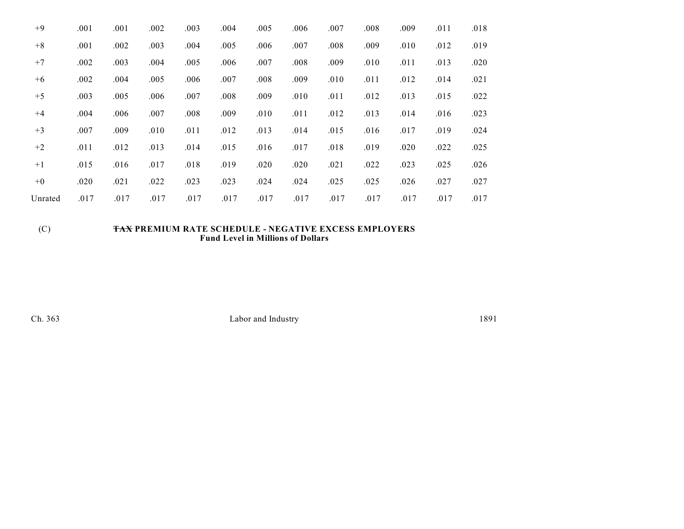| $+9$    | .001 | .001 | .002 | .003 | .004 | .005 | .006 | .007 | .008 | .009 | .011 | .018 |
|---------|------|------|------|------|------|------|------|------|------|------|------|------|
| $+8$    | .001 | .002 | .003 | .004 | .005 | .006 | .007 | .008 | .009 | .010 | .012 | .019 |
| $+7$    | .002 | .003 | .004 | .005 | .006 | .007 | .008 | .009 | .010 | .011 | .013 | .020 |
| $+6$    | .002 | .004 | .005 | .006 | .007 | .008 | .009 | .010 | .011 | .012 | .014 | .021 |
| $+5$    | .003 | .005 | .006 | .007 | .008 | .009 | .010 | .011 | .012 | .013 | .015 | .022 |
| $+4$    | .004 | .006 | .007 | .008 | .009 | .010 | .011 | .012 | .013 | .014 | .016 | .023 |
| $+3$    | .007 | .009 | .010 | .011 | .012 | .013 | .014 | .015 | .016 | .017 | .019 | .024 |
| $+2$    | .011 | .012 | .013 | .014 | .015 | .016 | .017 | .018 | .019 | .020 | .022 | .025 |
| $+1$    | .015 | .016 | .017 | .018 | .019 | .020 | .020 | .021 | .022 | .023 | .025 | .026 |
| $+0$    | .020 | .021 | .022 | .023 | .023 | .024 | .024 | .025 | .025 | .026 | .027 | .027 |
| Unrated | .017 | .017 | .017 | .017 | .017 | .017 | .017 | .017 | .017 | .017 | .017 | .017 |

## (C) **TAX PREMIUM RATE SCHEDULE - NEGATIVE EXCESS EMPLOYERS Fund Level in Millions of Dollars**

Ch. 363 Labor and Industry 1891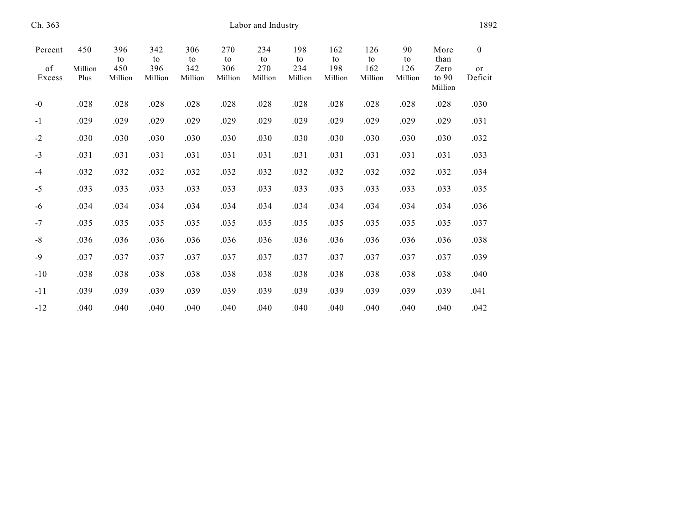| Ch. 363      | Labor and Industry |                |                |                |                |                |                |                |                |                | 1892                       |               |  |  |
|--------------|--------------------|----------------|----------------|----------------|----------------|----------------|----------------|----------------|----------------|----------------|----------------------------|---------------|--|--|
| Percent      | 450                | 396<br>to      | 342<br>to      | 306<br>to      | 270<br>to      | 234<br>to      | 198<br>to      | 162<br>to      | 126<br>to      | 90<br>to       | More<br>than               | $\mathbf{0}$  |  |  |
| of<br>Excess | Million<br>Plus    | 450<br>Million | 396<br>Million | 342<br>Million | 306<br>Million | 270<br>Million | 234<br>Million | 198<br>Million | 162<br>Million | 126<br>Million | Zero<br>to $90$<br>Million | or<br>Deficit |  |  |
| $-0$         | .028               | .028           | .028           | .028           | .028           | .028           | .028           | .028           | .028           | .028           | .028                       | .030          |  |  |
| $-1$         | .029               | .029           | .029           | .029           | .029           | .029           | .029           | .029           | .029           | .029           | .029                       | .031          |  |  |
| $-2$         | .030               | .030           | .030           | .030           | .030           | .030           | .030           | .030           | .030           | .030           | .030                       | .032          |  |  |
| $-3$         | .031               | .031           | .031           | .031           | .031           | .031           | .031           | .031           | .031           | .031           | .031                       | .033          |  |  |
| $-4$         | .032               | .032           | .032           | .032           | .032           | .032           | .032           | .032           | .032           | .032           | .032                       | .034          |  |  |
| $-5$         | .033               | .033           | .033           | .033           | .033           | .033           | .033           | .033           | .033           | .033           | .033                       | .035          |  |  |
| $-6$         | .034               | .034           | .034           | .034           | .034           | .034           | .034           | .034           | .034           | .034           | .034                       | .036          |  |  |
| $-7$         | .035               | .035           | .035           | .035           | .035           | .035           | .035           | .035           | .035           | .035           | .035                       | .037          |  |  |
| $-8$         | .036               | .036           | .036           | .036           | .036           | .036           | .036           | .036           | .036           | .036           | .036                       | .038          |  |  |
| $-9$         | .037               | .037           | .037           | .037           | .037           | .037           | .037           | .037           | .037           | .037           | .037                       | .039          |  |  |
| $-10$        | .038               | .038           | .038           | .038           | .038           | .038           | .038           | .038           | .038           | .038           | .038                       | .040          |  |  |
| $-11$        | .039               | .039           | .039           | .039           | .039           | .039           | .039           | .039           | .039           | .039           | .039                       | .041          |  |  |
| $-12$        | .040               | .040           | .040           | .040           | .040           | .040           | .040           | .040           | .040           | .040           | .040                       | .042          |  |  |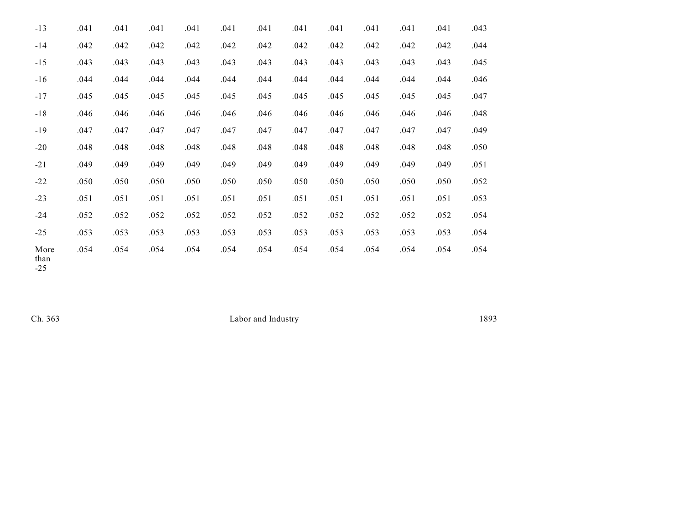| $-13$                            | .041 | .041 | .041 | .041 | .041 | .041 | .041 | .041 | .041 | .041 | .041 | .043 |
|----------------------------------|------|------|------|------|------|------|------|------|------|------|------|------|
| $-14$                            | .042 | .042 | .042 | .042 | .042 | .042 | .042 | .042 | .042 | .042 | .042 | .044 |
| $-15$                            | .043 | .043 | .043 | .043 | .043 | .043 | .043 | .043 | .043 | .043 | .043 | .045 |
| $-16$                            | .044 | .044 | .044 | .044 | .044 | .044 | .044 | .044 | .044 | .044 | .044 | .046 |
| $-17$                            | .045 | .045 | .045 | .045 | .045 | .045 | .045 | .045 | .045 | .045 | .045 | .047 |
| $-18$                            | .046 | .046 | .046 | .046 | .046 | .046 | .046 | .046 | .046 | .046 | .046 | .048 |
| $-19$                            | .047 | .047 | .047 | .047 | .047 | .047 | .047 | .047 | .047 | .047 | .047 | .049 |
| $-20$                            | .048 | .048 | .048 | .048 | .048 | .048 | .048 | .048 | .048 | .048 | .048 | .050 |
| $-21$                            | .049 | .049 | .049 | .049 | .049 | .049 | .049 | .049 | .049 | .049 | .049 | .051 |
| $-22$                            | .050 | .050 | .050 | .050 | .050 | .050 | .050 | .050 | .050 | .050 | .050 | .052 |
| $-23$                            | .051 | .051 | .051 | .051 | .051 | .051 | .051 | .051 | .051 | .051 | .051 | .053 |
| $-24$                            | .052 | .052 | .052 | .052 | .052 | .052 | .052 | .052 | .052 | .052 | .052 | .054 |
| $-25$                            | .053 | .053 | .053 | .053 | .053 | .053 | .053 | .053 | .053 | .053 | .053 | .054 |
| More<br>than<br>$\cap$ $\subset$ | .054 | .054 | .054 | .054 | .054 | .054 | .054 | .054 | .054 | .054 | .054 | .054 |

-25

Ch. 363 Labor and Industry 1893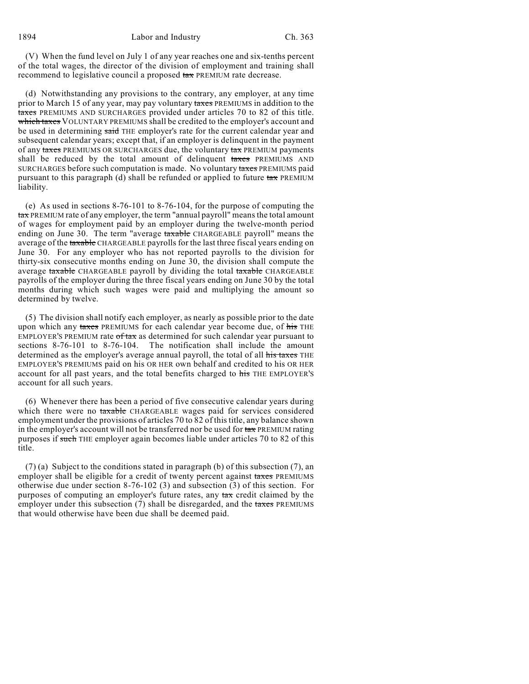(V) When the fund level on July 1 of any year reaches one and six-tenths percent of the total wages, the director of the division of employment and training shall recommend to legislative council a proposed tax PREMIUM rate decrease.

(d) Notwithstanding any provisions to the contrary, any employer, at any time prior to March 15 of any year, may pay voluntary taxes PREMIUMS in addition to the taxes PREMIUMS AND SURCHARGES provided under articles 70 to 82 of this title. which taxes VOLUNTARY PREMIUMS shall be credited to the employer's account and be used in determining said THE employer's rate for the current calendar year and subsequent calendar years; except that, if an employer is delinquent in the payment of any taxes PREMIUMS OR SURCHARGES due, the voluntary tax PREMIUM payments shall be reduced by the total amount of delinquent taxes PREMIUMS AND SURCHARGES before such computation is made. No voluntary taxes PREMIUMS paid pursuant to this paragraph (d) shall be refunded or applied to future  $\frac{1}{2}$  PREMIUM liability.

(e) As used in sections 8-76-101 to 8-76-104, for the purpose of computing the tax PREMIUM rate of any employer, the term "annual payroll" means the total amount of wages for employment paid by an employer during the twelve-month period ending on June 30. The term "average taxable CHARGEABLE payroll" means the average of the taxable CHARGEABLE payrolls for the last three fiscal years ending on June 30. For any employer who has not reported payrolls to the division for thirty-six consecutive months ending on June 30, the division shall compute the average taxable CHARGEABLE payroll by dividing the total taxable CHARGEABLE payrolls of the employer during the three fiscal years ending on June 30 by the total months during which such wages were paid and multiplying the amount so determined by twelve.

(5) The division shall notify each employer, as nearly as possible prior to the date upon which any taxes PREMIUMS for each calendar year become due, of his THE EMPLOYER'S PREMIUM rate of tax as determined for such calendar year pursuant to sections 8-76-101 to 8-76-104. The notification shall include the amount determined as the employer's average annual payroll, the total of all his taxes THE EMPLOYER'S PREMIUMS paid on his OR HER own behalf and credited to his OR HER account for all past years, and the total benefits charged to his THE EMPLOYER'S account for all such years.

(6) Whenever there has been a period of five consecutive calendar years during which there were no taxable CHARGEABLE wages paid for services considered employment under the provisions of articles 70 to 82 of this title, any balance shown in the employer's account will not be transferred nor be used for  $\text{tax}$  PREMIUM rating purposes if such THE employer again becomes liable under articles 70 to 82 of this title.

 $(7)$  (a) Subject to the conditions stated in paragraph (b) of this subsection (7), an employer shall be eligible for a credit of twenty percent against taxes PREMIUMS otherwise due under section 8-76-102 (3) and subsection (3) of this section. For purposes of computing an employer's future rates, any tax credit claimed by the employer under this subsection (7) shall be disregarded, and the taxes PREMIUMS that would otherwise have been due shall be deemed paid.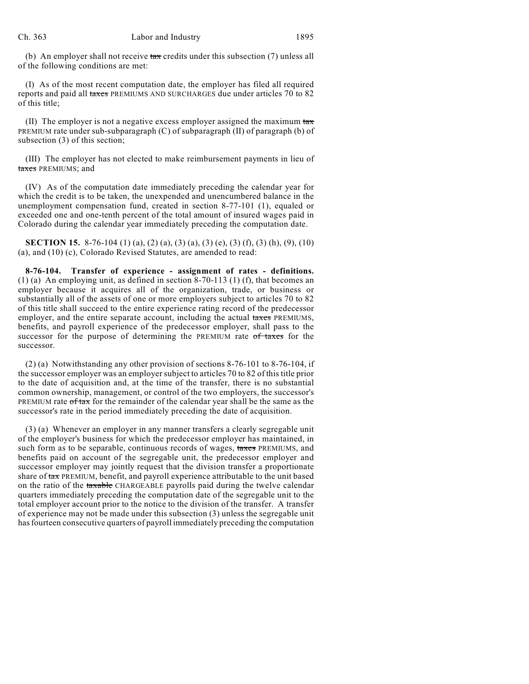(b) An employer shall not receive  $\tanctan$  credits under this subsection (7) unless all of the following conditions are met:

(I) As of the most recent computation date, the employer has filed all required reports and paid all taxes PREMIUMS AND SURCHARGES due under articles 70 to 82 of this title;

(II) The employer is not a negative excess employer assigned the maximum  $\frac{1}{4}$ PREMIUM rate under sub-subparagraph (C) of subparagraph (II) of paragraph (b) of subsection (3) of this section;

(III) The employer has not elected to make reimbursement payments in lieu of taxes PREMIUMS; and

(IV) As of the computation date immediately preceding the calendar year for which the credit is to be taken, the unexpended and unencumbered balance in the unemployment compensation fund, created in section 8-77-101 (1), equaled or exceeded one and one-tenth percent of the total amount of insured wages paid in Colorado during the calendar year immediately preceding the computation date.

**SECTION 15.** 8-76-104 (1) (a), (2) (a), (3) (a), (3) (e), (3) (f), (3) (h), (9), (10) (a), and (10) (c), Colorado Revised Statutes, are amended to read:

**8-76-104. Transfer of experience - assignment of rates - definitions.** (1) (a) An employing unit, as defined in section 8-70-113 (1) (f), that becomes an employer because it acquires all of the organization, trade, or business or substantially all of the assets of one or more employers subject to articles 70 to 82 of this title shall succeed to the entire experience rating record of the predecessor employer, and the entire separate account, including the actual taxes PREMIUMS, benefits, and payroll experience of the predecessor employer, shall pass to the successor for the purpose of determining the PREMIUM rate of taxes for the successor.

(2) (a) Notwithstanding any other provision of sections 8-76-101 to 8-76-104, if the successor employer was an employer subject to articles 70 to 82 of this title prior to the date of acquisition and, at the time of the transfer, there is no substantial common ownership, management, or control of the two employers, the successor's PREMIUM rate  $\theta$  ftax for the remainder of the calendar year shall be the same as the successor's rate in the period immediately preceding the date of acquisition.

(3) (a) Whenever an employer in any manner transfers a clearly segregable unit of the employer's business for which the predecessor employer has maintained, in such form as to be separable, continuous records of wages, taxes PREMIUMS, and benefits paid on account of the segregable unit, the predecessor employer and successor employer may jointly request that the division transfer a proportionate share of tax PREMIUM, benefit, and payroll experience attributable to the unit based on the ratio of the taxable CHARGEABLE payrolls paid during the twelve calendar quarters immediately preceding the computation date of the segregable unit to the total employer account prior to the notice to the division of the transfer. A transfer of experience may not be made under this subsection (3) unless the segregable unit has fourteen consecutive quarters of payroll immediately preceding the computation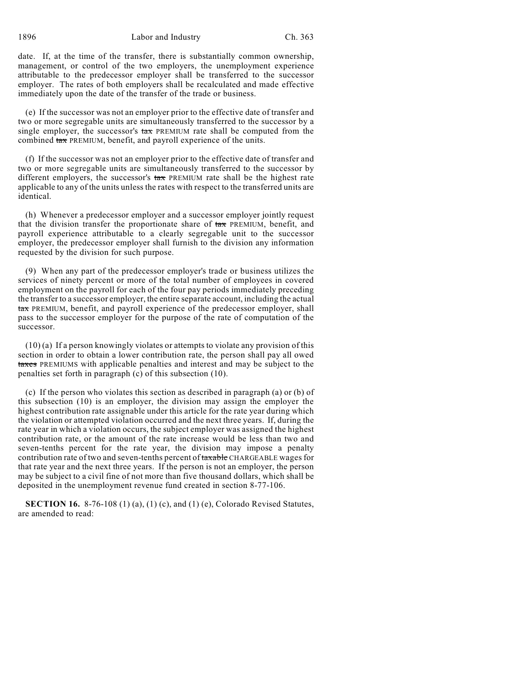date. If, at the time of the transfer, there is substantially common ownership, management, or control of the two employers, the unemployment experience attributable to the predecessor employer shall be transferred to the successor employer. The rates of both employers shall be recalculated and made effective immediately upon the date of the transfer of the trade or business.

(e) If the successor was not an employer prior to the effective date of transfer and two or more segregable units are simultaneously transferred to the successor by a single employer, the successor's  $\text{tax}$  PREMIUM rate shall be computed from the combined tax PREMIUM, benefit, and payroll experience of the units.

(f) If the successor was not an employer prior to the effective date of transfer and two or more segregable units are simultaneously transferred to the successor by different employers, the successor's  $\frac{1}{2}$  PREMIUM rate shall be the highest rate applicable to any of the units unless the rates with respect to the transferred units are identical.

(h) Whenever a predecessor employer and a successor employer jointly request that the division transfer the proportionate share of  $\text{tax}$  PREMIUM, benefit, and payroll experience attributable to a clearly segregable unit to the successor employer, the predecessor employer shall furnish to the division any information requested by the division for such purpose.

(9) When any part of the predecessor employer's trade or business utilizes the services of ninety percent or more of the total number of employees in covered employment on the payroll for each of the four pay periods immediately preceding the transfer to a successor employer, the entire separate account, including the actual tax PREMIUM, benefit, and payroll experience of the predecessor employer, shall pass to the successor employer for the purpose of the rate of computation of the successor.

(10) (a) If a person knowingly violates or attempts to violate any provision of this section in order to obtain a lower contribution rate, the person shall pay all owed taxes PREMIUMS with applicable penalties and interest and may be subject to the penalties set forth in paragraph (c) of this subsection (10).

(c) If the person who violates this section as described in paragraph (a) or (b) of this subsection (10) is an employer, the division may assign the employer the highest contribution rate assignable under this article for the rate year during which the violation or attempted violation occurred and the next three years. If, during the rate year in which a violation occurs, the subject employer was assigned the highest contribution rate, or the amount of the rate increase would be less than two and seven-tenths percent for the rate year, the division may impose a penalty contribution rate of two and seven-tenths percent of taxable CHARGEABLE wages for that rate year and the next three years. If the person is not an employer, the person may be subject to a civil fine of not more than five thousand dollars, which shall be deposited in the unemployment revenue fund created in section 8-77-106.

**SECTION 16.** 8-76-108 (1) (a), (1) (c), and (1) (e), Colorado Revised Statutes, are amended to read: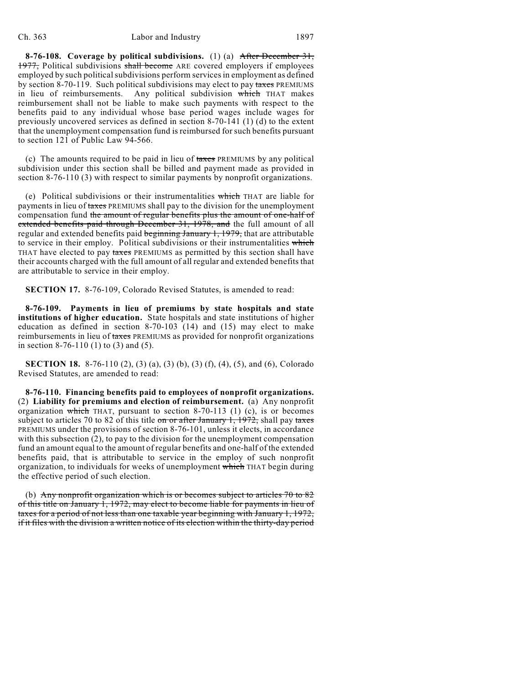**8-76-108. Coverage by political subdivisions.** (1) (a) After December 31, 1977, Political subdivisions shall become ARE covered employers if employees employed by such political subdivisions perform services in employment as defined by section 8-70-119. Such political subdivisions may elect to pay taxes PREMIUMS in lieu of reimbursements. Any political subdivision which THAT makes reimbursement shall not be liable to make such payments with respect to the benefits paid to any individual whose base period wages include wages for previously uncovered services as defined in section 8-70-141 (1) (d) to the extent that the unemployment compensation fund is reimbursed for such benefits pursuant to section 121 of Public Law 94-566.

(c) The amounts required to be paid in lieu of taxes PREMIUMS by any political subdivision under this section shall be billed and payment made as provided in section 8-76-110 (3) with respect to similar payments by nonprofit organizations.

(e) Political subdivisions or their instrumentalities which THAT are liable for payments in lieu of taxes PREMIUMS shall pay to the division for the unemployment compensation fund the amount of regular benefits plus the amount of one-half of extended benefits paid through December 31, 1978, and the full amount of all regular and extended benefits paid beginning January 1, 1979, that are attributable to service in their employ. Political subdivisions or their instrumentalities which THAT have elected to pay taxes PREMIUMS as permitted by this section shall have their accounts charged with the full amount of all regular and extended benefits that are attributable to service in their employ.

**SECTION 17.** 8-76-109, Colorado Revised Statutes, is amended to read:

**8-76-109. Payments in lieu of premiums by state hospitals and state institutions of higher education.** State hospitals and state institutions of higher education as defined in section  $8-70-103$  (14) and (15) may elect to make reimbursements in lieu of taxes PREMIUMS as provided for nonprofit organizations in section 8-76-110 (1) to (3) and (5).

**SECTION 18.** 8-76-110 (2), (3) (a), (3) (b), (3) (f), (4), (5), and (6), Colorado Revised Statutes, are amended to read:

**8-76-110. Financing benefits paid to employees of nonprofit organizations.** (2) **Liability for premiums and election of reimbursement.** (a) Any nonprofit organization which THAT, pursuant to section  $8-70-113$  (1) (c), is or becomes subject to articles 70 to 82 of this title on or after January 1, 1972, shall pay taxes PREMIUMS under the provisions of section 8-76-101, unless it elects, in accordance with this subsection (2), to pay to the division for the unemployment compensation fund an amount equal to the amount of regular benefits and one-half of the extended benefits paid, that is attributable to service in the employ of such nonprofit organization, to individuals for weeks of unemployment which THAT begin during the effective period of such election.

(b) Any nonprofit organization which is or becomes subject to articles 70 to 82 of this title on January 1, 1972, may elect to become liable for payments in lieu of taxes for a period of not less than one taxable year beginning with January 1, 1972, if it files with the division a written notice of its election within the thirty-day period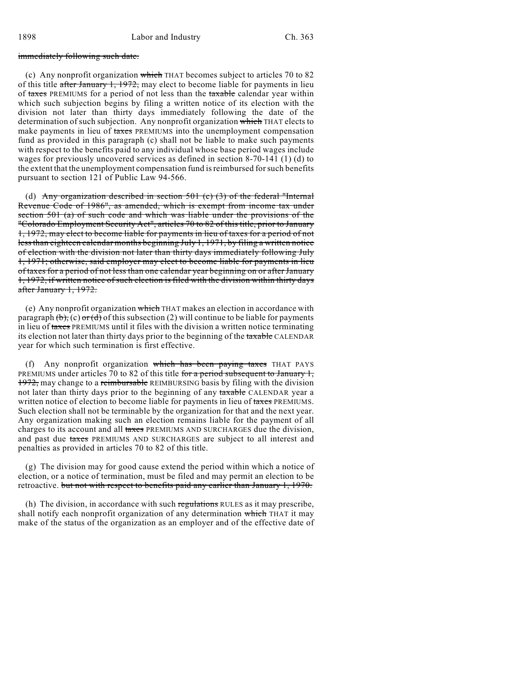#### immediately following such date.

(c) Any nonprofit organization which THAT becomes subject to articles 70 to 82 of this title after January 1, 1972, may elect to become liable for payments in lieu of taxes PREMIUMS for a period of not less than the taxable calendar year within which such subjection begins by filing a written notice of its election with the division not later than thirty days immediately following the date of the determination of such subjection. Any nonprofit organization which THAT elects to make payments in lieu of taxes PREMIUMS into the unemployment compensation fund as provided in this paragraph (c) shall not be liable to make such payments with respect to the benefits paid to any individual whose base period wages include wages for previously uncovered services as defined in section 8-70-141 (1) (d) to the extent that the unemployment compensation fund is reimbursed for such benefits pursuant to section 121 of Public Law 94-566.

(d) Any organization described in section  $501$  (c) (3) of the federal "Internal Revenue Code of 1986", as amended, which is exempt from income tax under section 501 (a) of such code and which was liable under the provisions of the "Colorado Employment Security Act", articles 70 to 82 of this title, prior to January 1, 1972, may elect to become liable for payments in lieu of taxes for a period of not less than eighteen calendar months beginning July 1, 1971, by filing a written notice of election with the division not later than thirty days immediately following July 1, 1971; otherwise, said employer may elect to become liable for payments in lieu of taxes for a period of not less than one calendar year beginning on or after January 1, 1972, if written notice of such election is filed with the division within thirty days after January 1, 1972.

(e) Any nonprofit organization which THAT makes an election in accordance with paragraph  $(\theta)$ , (c)  $\sigma$  (d) of this subsection (2) will continue to be liable for payments in lieu of taxes PREMIUMS until it files with the division a written notice terminating its election not later than thirty days prior to the beginning of the taxable CALENDAR year for which such termination is first effective.

(f) Any nonprofit organization which has been paying taxes THAT PAYS PREMIUMS under articles 70 to 82 of this title for a period subsequent to January 1, 1972, may change to a reimbursable REIMBURSING basis by filing with the division not later than thirty days prior to the beginning of any taxable CALENDAR year a written notice of election to become liable for payments in lieu of taxes PREMIUMS. Such election shall not be terminable by the organization for that and the next year. Any organization making such an election remains liable for the payment of all charges to its account and all taxes PREMIUMS AND SURCHARGES due the division, and past due taxes PREMIUMS AND SURCHARGES are subject to all interest and penalties as provided in articles 70 to 82 of this title.

(g) The division may for good cause extend the period within which a notice of election, or a notice of termination, must be filed and may permit an election to be retroactive. but not with respect to benefits paid any earlier than January 1, 1970.

(h) The division, in accordance with such regulations RULES as it may prescribe, shall notify each nonprofit organization of any determination which THAT it may make of the status of the organization as an employer and of the effective date of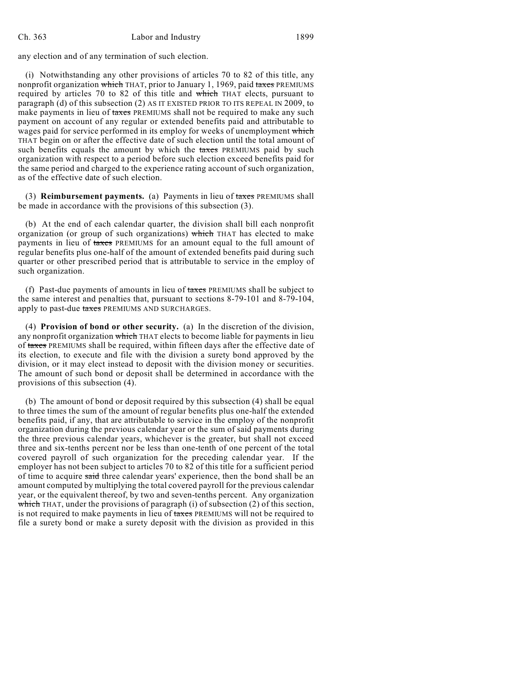#### Ch. 363 Labor and Industry 1899

any election and of any termination of such election.

(i) Notwithstanding any other provisions of articles 70 to 82 of this title, any nonprofit organization which THAT, prior to January 1, 1969, paid taxes PREMIUMS required by articles 70 to 82 of this title and which THAT elects, pursuant to paragraph (d) of this subsection (2) AS IT EXISTED PRIOR TO ITS REPEAL IN 2009, to make payments in lieu of taxes PREMIUMS shall not be required to make any such payment on account of any regular or extended benefits paid and attributable to wages paid for service performed in its employ for weeks of unemployment which THAT begin on or after the effective date of such election until the total amount of such benefits equals the amount by which the taxes PREMIUMS paid by such organization with respect to a period before such election exceed benefits paid for the same period and charged to the experience rating account of such organization, as of the effective date of such election.

(3) **Reimbursement payments.** (a) Payments in lieu of taxes PREMIUMS shall be made in accordance with the provisions of this subsection (3).

(b) At the end of each calendar quarter, the division shall bill each nonprofit organization (or group of such organizations) which THAT has elected to make payments in lieu of taxes PREMIUMS for an amount equal to the full amount of regular benefits plus one-half of the amount of extended benefits paid during such quarter or other prescribed period that is attributable to service in the employ of such organization.

(f) Past-due payments of amounts in lieu of taxes PREMIUMS shall be subject to the same interest and penalties that, pursuant to sections 8-79-101 and 8-79-104, apply to past-due taxes PREMIUMS AND SURCHARGES.

(4) **Provision of bond or other security.** (a) In the discretion of the division, any nonprofit organization which THAT elects to become liable for payments in lieu of taxes PREMIUMS shall be required, within fifteen days after the effective date of its election, to execute and file with the division a surety bond approved by the division, or it may elect instead to deposit with the division money or securities. The amount of such bond or deposit shall be determined in accordance with the provisions of this subsection (4).

(b) The amount of bond or deposit required by this subsection (4) shall be equal to three times the sum of the amount of regular benefits plus one-half the extended benefits paid, if any, that are attributable to service in the employ of the nonprofit organization during the previous calendar year or the sum of said payments during the three previous calendar years, whichever is the greater, but shall not exceed three and six-tenths percent nor be less than one-tenth of one percent of the total covered payroll of such organization for the preceding calendar year. If the employer has not been subject to articles 70 to 82 of this title for a sufficient period of time to acquire said three calendar years' experience, then the bond shall be an amount computed by multiplying the total covered payroll for the previous calendar year, or the equivalent thereof, by two and seven-tenths percent. Any organization which THAT, under the provisions of paragraph (i) of subsection (2) of this section, is not required to make payments in lieu of taxes PREMIUMS will not be required to file a surety bond or make a surety deposit with the division as provided in this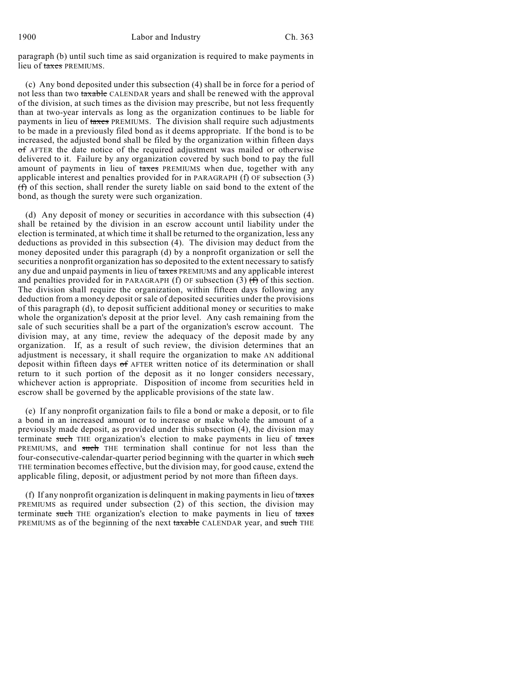paragraph (b) until such time as said organization is required to make payments in lieu of taxes PREMIUMS.

(c) Any bond deposited under this subsection (4) shall be in force for a period of not less than two taxable CALENDAR years and shall be renewed with the approval of the division, at such times as the division may prescribe, but not less frequently than at two-year intervals as long as the organization continues to be liable for payments in lieu of taxes PREMIUMS. The division shall require such adjustments to be made in a previously filed bond as it deems appropriate. If the bond is to be increased, the adjusted bond shall be filed by the organization within fifteen days of AFTER the date notice of the required adjustment was mailed or otherwise delivered to it. Failure by any organization covered by such bond to pay the full amount of payments in lieu of taxes PREMIUMS when due, together with any applicable interest and penalties provided for in PARAGRAPH (f) OF subsection (3) (f) of this section, shall render the surety liable on said bond to the extent of the bond, as though the surety were such organization.

(d) Any deposit of money or securities in accordance with this subsection (4) shall be retained by the division in an escrow account until liability under the election is terminated, at which time itshall be returned to the organization, less any deductions as provided in this subsection (4). The division may deduct from the money deposited under this paragraph (d) by a nonprofit organization or sell the securities a nonprofit organization has so deposited to the extent necessary to satisfy any due and unpaid payments in lieu of taxes PREMIUMS and any applicable interest and penalties provided for in PARAGRAPH (f) OF subsection (3)  $(f)$  of this section. The division shall require the organization, within fifteen days following any deduction from a money deposit or sale of deposited securities under the provisions of this paragraph (d), to deposit sufficient additional money or securities to make whole the organization's deposit at the prior level. Any cash remaining from the sale of such securities shall be a part of the organization's escrow account. The division may, at any time, review the adequacy of the deposit made by any organization. If, as a result of such review, the division determines that an adjustment is necessary, it shall require the organization to make AN additional deposit within fifteen days of AFTER written notice of its determination or shall return to it such portion of the deposit as it no longer considers necessary, whichever action is appropriate. Disposition of income from securities held in escrow shall be governed by the applicable provisions of the state law.

(e) If any nonprofit organization fails to file a bond or make a deposit, or to file a bond in an increased amount or to increase or make whole the amount of a previously made deposit, as provided under this subsection (4), the division may terminate such THE organization's election to make payments in lieu of taxes PREMIUMS, and such THE termination shall continue for not less than the four-consecutive-calendar-quarter period beginning with the quarter in which such THE termination becomes effective, but the division may, for good cause, extend the applicable filing, deposit, or adjustment period by not more than fifteen days.

(f) If any nonprofit organization is delinquent in making payments in lieu of  $t$ axes PREMIUMS as required under subsection (2) of this section, the division may terminate such THE organization's election to make payments in lieu of taxes PREMIUMS as of the beginning of the next taxable CALENDAR year, and such THE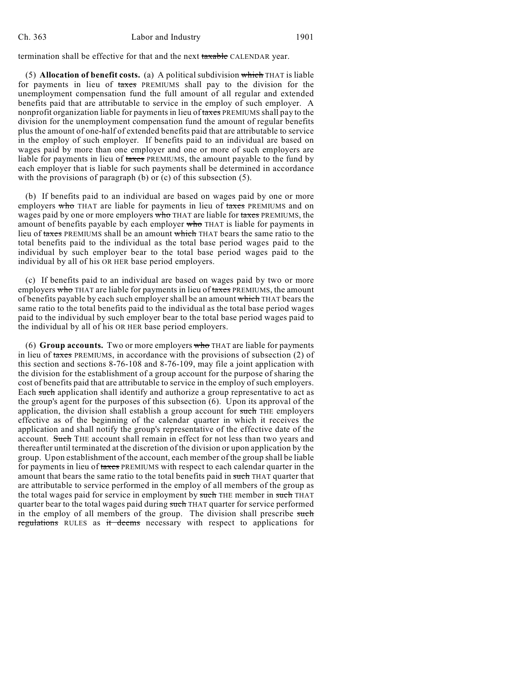termination shall be effective for that and the next taxable CALENDAR year.

(5) **Allocation of benefit costs.** (a) A political subdivision which THAT is liable for payments in lieu of taxes PREMIUMS shall pay to the division for the unemployment compensation fund the full amount of all regular and extended benefits paid that are attributable to service in the employ of such employer. A nonprofit organization liable for payments in lieu of taxes PREMIUMS shall pay to the division for the unemployment compensation fund the amount of regular benefits plus the amount of one-half of extended benefits paid that are attributable to service in the employ of such employer. If benefits paid to an individual are based on wages paid by more than one employer and one or more of such employers are liable for payments in lieu of taxes PREMIUMS, the amount payable to the fund by each employer that is liable for such payments shall be determined in accordance with the provisions of paragraph (b) or (c) of this subsection (5).

(b) If benefits paid to an individual are based on wages paid by one or more employers who THAT are liable for payments in lieu of taxes PREMIUMS and on wages paid by one or more employers who THAT are liable for taxes PREMIUMS, the amount of benefits payable by each employer who THAT is liable for payments in lieu of taxes PREMIUMS shall be an amount which THAT bears the same ratio to the total benefits paid to the individual as the total base period wages paid to the individual by such employer bear to the total base period wages paid to the individual by all of his OR HER base period employers.

(c) If benefits paid to an individual are based on wages paid by two or more employers who THAT are liable for payments in lieu of taxes PREMIUMS, the amount of benefits payable by each such employer shall be an amount which THAT bears the same ratio to the total benefits paid to the individual as the total base period wages paid to the individual by such employer bear to the total base period wages paid to the individual by all of his OR HER base period employers.

(6) **Group accounts.** Two or more employers who THAT are liable for payments in lieu of taxes PREMIUMS, in accordance with the provisions of subsection (2) of this section and sections 8-76-108 and 8-76-109, may file a joint application with the division for the establishment of a group account for the purpose of sharing the cost of benefits paid that are attributable to service in the employ of such employers. Each such application shall identify and authorize a group representative to act as the group's agent for the purposes of this subsection (6). Upon its approval of the application, the division shall establish a group account for such THE employers effective as of the beginning of the calendar quarter in which it receives the application and shall notify the group's representative of the effective date of the account. Such THE account shall remain in effect for not less than two years and thereafter until terminated at the discretion of the division or upon application by the group. Upon establishment of the account, each member of the group shall be liable for payments in lieu of taxes PREMIUMS with respect to each calendar quarter in the amount that bears the same ratio to the total benefits paid in such THAT quarter that are attributable to service performed in the employ of all members of the group as the total wages paid for service in employment by such THE member in such THAT quarter bear to the total wages paid during such THAT quarter for service performed in the employ of all members of the group. The division shall prescribe such regulations RULES as it deems necessary with respect to applications for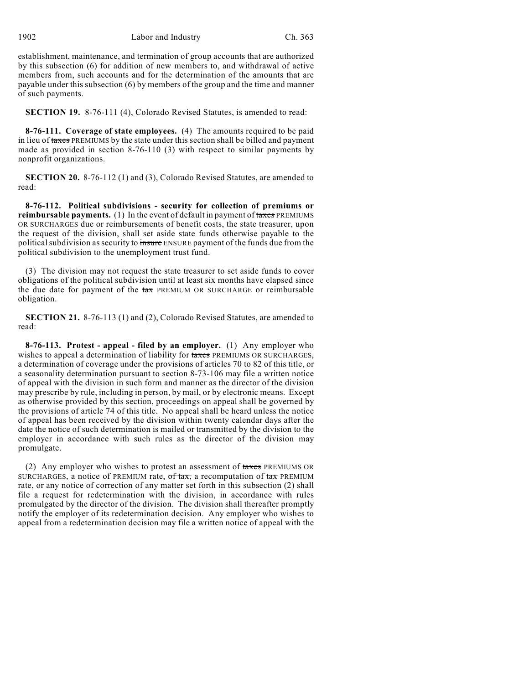establishment, maintenance, and termination of group accounts that are authorized by this subsection (6) for addition of new members to, and withdrawal of active members from, such accounts and for the determination of the amounts that are payable under this subsection (6) by members of the group and the time and manner of such payments.

**SECTION 19.** 8-76-111 (4), Colorado Revised Statutes, is amended to read:

**8-76-111. Coverage of state employees.** (4) The amounts required to be paid in lieu of taxes PREMIUMS by the state under this section shall be billed and payment made as provided in section 8-76-110 (3) with respect to similar payments by nonprofit organizations.

**SECTION 20.** 8-76-112 (1) and (3), Colorado Revised Statutes, are amended to read:

**8-76-112. Political subdivisions - security for collection of premiums or reimbursable payments.** (1) In the event of default in payment of taxes PREMIUMS OR SURCHARGES due or reimbursements of benefit costs, the state treasurer, upon the request of the division, shall set aside state funds otherwise payable to the political subdivision as security to insure ENSURE payment of the funds due from the political subdivision to the unemployment trust fund.

(3) The division may not request the state treasurer to set aside funds to cover obligations of the political subdivision until at least six months have elapsed since the due date for payment of the tax PREMIUM OR SURCHARGE or reimbursable obligation.

**SECTION 21.** 8-76-113 (1) and (2), Colorado Revised Statutes, are amended to read:

**8-76-113. Protest - appeal - filed by an employer.** (1) Any employer who wishes to appeal a determination of liability for taxes PREMIUMS OR SURCHARGES, a determination of coverage under the provisions of articles 70 to 82 of this title, or a seasonality determination pursuant to section 8-73-106 may file a written notice of appeal with the division in such form and manner as the director of the division may prescribe by rule, including in person, by mail, or by electronic means. Except as otherwise provided by this section, proceedings on appeal shall be governed by the provisions of article 74 of this title. No appeal shall be heard unless the notice of appeal has been received by the division within twenty calendar days after the date the notice of such determination is mailed or transmitted by the division to the employer in accordance with such rules as the director of the division may promulgate.

(2) Any employer who wishes to protest an assessment of taxes PREMIUMS OR SURCHARGES, a notice of PREMIUM rate,  $\sigma f \tau$  tax, a recomputation of  $\tau$  PREMIUM rate, or any notice of correction of any matter set forth in this subsection (2) shall file a request for redetermination with the division, in accordance with rules promulgated by the director of the division. The division shall thereafter promptly notify the employer of its redetermination decision. Any employer who wishes to appeal from a redetermination decision may file a written notice of appeal with the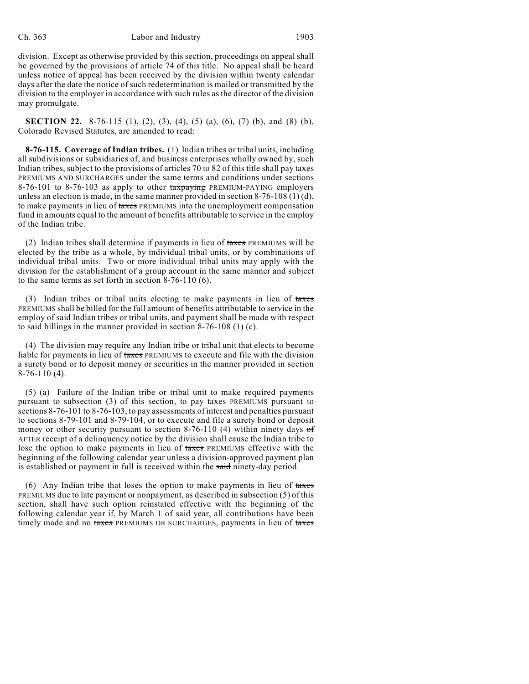division. Except as otherwise provided by this section, proceedings on appeal shall be governed by the provisions of article 74 of this title. No appeal shall be heard unless notice of appeal has been received by the division within twenty calendar days after the date the notice of such redetermination is mailed or transmitted by the division to the employer in accordance with such rules as the director of the division may promulgate.

**SECTION 22.** 8-76-115 (1), (2), (3), (4), (5) (a), (6), (7) (b), and (8) (b), Colorado Revised Statutes, are amended to read:

**8-76-115. Coverage of Indian tribes.** (1) Indian tribes or tribal units, including all subdivisions or subsidiaries of, and business enterprises wholly owned by, such Indian tribes, subject to the provisions of articles 70 to 82 of this title shall pay taxes PREMIUMS AND SURCHARGES under the same terms and conditions under sections 8-76-101 to 8-76-103 as apply to other taxpaying PREMIUM-PAYING employers unless an election is made, in the same manner provided in section 8-76-108 (1) (d), to make payments in lieu of taxes PREMIUMS into the unemployment compensation fund in amounts equal to the amount of benefits attributable to service in the employ of the Indian tribe.

(2) Indian tribes shall determine if payments in lieu of taxes PREMIUMS will be elected by the tribe as a whole, by individual tribal units, or by combinations of individual tribal units. Two or more individual tribal units may apply with the division for the establishment of a group account in the same manner and subject to the same terms as set forth in section 8-76-110 (6).

(3) Indian tribes or tribal units electing to make payments in lieu of taxes PREMIUMS shall be billed for the full amount of benefits attributable to service in the employ of said Indian tribes or tribal units, and payment shall be made with respect to said billings in the manner provided in section 8-76-108 (1) (c).

(4) The division may require any Indian tribe or tribal unit that elects to become liable for payments in lieu of taxes PREMIUMS to execute and file with the division a surety bond or to deposit money or securities in the manner provided in section 8-76-110 (4).

(5) (a) Failure of the Indian tribe or tribal unit to make required payments pursuant to subsection  $(3)$  of this section, to pay taxes PREMIUMS pursuant to sections 8-76-101 to 8-76-103, to pay assessments of interest and penalties pursuant to sections 8-79-101 and 8-79-104, or to execute and file a surety bond or deposit money or other security pursuant to section 8-76-110 (4) within ninety days  $\sigma f$ AFTER receipt of a delinquency notice by the division shall cause the Indian tribe to lose the option to make payments in lieu of taxes PREMIUMS effective with the beginning of the following calendar year unless a division-approved payment plan is established or payment in full is received within the said ninety-day period.

(6) Any Indian tribe that loses the option to make payments in lieu of taxes PREMIUMS due to late payment or nonpayment, as described in subsection (5) of this section, shall have such option reinstated effective with the beginning of the following calendar year if, by March 1 of said year, all contributions have been timely made and no taxes PREMIUMS OR SURCHARGES, payments in lieu of taxes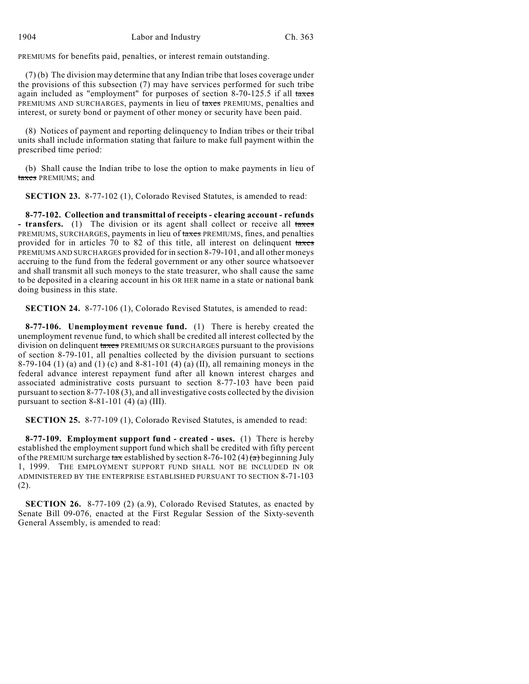PREMIUMS for benefits paid, penalties, or interest remain outstanding.

(7) (b) The division may determine that any Indian tribe that loses coverage under the provisions of this subsection (7) may have services performed for such tribe again included as "employment" for purposes of section 8-70-125.5 if all taxes PREMIUMS AND SURCHARGES, payments in lieu of taxes PREMIUMS, penalties and interest, or surety bond or payment of other money or security have been paid.

(8) Notices of payment and reporting delinquency to Indian tribes or their tribal units shall include information stating that failure to make full payment within the prescribed time period:

(b) Shall cause the Indian tribe to lose the option to make payments in lieu of taxes PREMIUMS; and

**SECTION 23.** 8-77-102 (1), Colorado Revised Statutes, is amended to read:

**8-77-102. Collection and transmittal of receipts - clearing account - refunds** - **transfers.** (1) The division or its agent shall collect or receive all taxes PREMIUMS, SURCHARGES, payments in lieu of taxes PREMIUMS, fines, and penalties provided for in articles 70 to 82 of this title, all interest on delinquent taxes PREMIUMS AND SURCHARGES provided for in section 8-79-101, and all other moneys accruing to the fund from the federal government or any other source whatsoever and shall transmit all such moneys to the state treasurer, who shall cause the same to be deposited in a clearing account in his OR HER name in a state or national bank doing business in this state.

**SECTION 24.** 8-77-106 (1), Colorado Revised Statutes, is amended to read:

**8-77-106. Unemployment revenue fund.** (1) There is hereby created the unemployment revenue fund, to which shall be credited all interest collected by the division on delinquent taxes PREMIUMS OR SURCHARGES pursuant to the provisions of section 8-79-101, all penalties collected by the division pursuant to sections 8-79-104 (1) (a) and (1) (c) and 8-81-101 (4) (a) (II), all remaining moneys in the federal advance interest repayment fund after all known interest charges and associated administrative costs pursuant to section 8-77-103 have been paid pursuant to section 8-77-108 (3), and all investigative costs collected by the division pursuant to section  $8-81-101$  (4) (a) (III).

**SECTION 25.** 8-77-109 (1), Colorado Revised Statutes, is amended to read:

**8-77-109. Employment support fund - created - uses.** (1) There is hereby established the employment support fund which shall be credited with fifty percent of the PREMIUM surcharge tax established by section 8-76-102 (4) (a) beginning July 1, 1999. THE EMPLOYMENT SUPPORT FUND SHALL NOT BE INCLUDED IN OR ADMINISTERED BY THE ENTERPRISE ESTABLISHED PURSUANT TO SECTION 8-71-103 (2).

**SECTION 26.** 8-77-109 (2) (a.9), Colorado Revised Statutes, as enacted by Senate Bill 09-076, enacted at the First Regular Session of the Sixty-seventh General Assembly, is amended to read: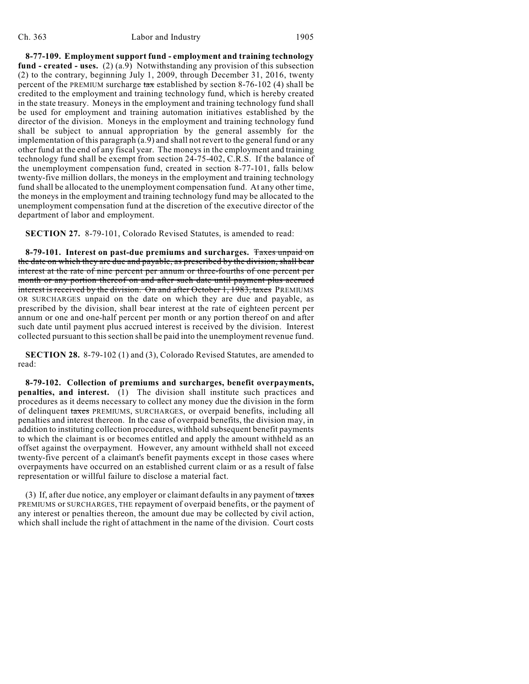#### Ch. 363 Labor and Industry 1905

**8-77-109. Employment support fund - employment and training technology fund - created - uses.** (2) (a.9) Notwithstanding any provision of this subsection (2) to the contrary, beginning July 1, 2009, through December 31, 2016, twenty percent of the PREMIUM surcharge  $\frac{\pi x}{\pi}$  established by section 8-76-102 (4) shall be credited to the employment and training technology fund, which is hereby created in the state treasury. Moneys in the employment and training technology fund shall be used for employment and training automation initiatives established by the director of the division. Moneys in the employment and training technology fund shall be subject to annual appropriation by the general assembly for the implementation of this paragraph (a.9) and shall not revert to the general fund or any other fund at the end of any fiscal year. The moneys in the employment and training technology fund shall be exempt from section 24-75-402, C.R.S. If the balance of the unemployment compensation fund, created in section 8-77-101, falls below twenty-five million dollars, the moneys in the employment and training technology fund shall be allocated to the unemployment compensation fund. At any other time, the moneys in the employment and training technology fund may be allocated to the unemployment compensation fund at the discretion of the executive director of the department of labor and employment.

**SECTION 27.** 8-79-101, Colorado Revised Statutes, is amended to read:

**8-79-101. Interest on past-due premiums and surcharges.** Taxes unpaid on the date on which they are due and payable, as prescribed by the division, shall bear interest at the rate of nine percent per annum or three-fourths of one percent per month or any portion thereof on and after such date until payment plus accrued interest is received by the division. On and after October 1, 1983, taxes PREMIUMS OR SURCHARGES unpaid on the date on which they are due and payable, as prescribed by the division, shall bear interest at the rate of eighteen percent per annum or one and one-half percent per month or any portion thereof on and after such date until payment plus accrued interest is received by the division. Interest collected pursuant to this section shall be paid into the unemployment revenue fund.

**SECTION 28.** 8-79-102 (1) and (3), Colorado Revised Statutes, are amended to read:

**8-79-102. Collection of premiums and surcharges, benefit overpayments, penalties, and interest.** (1) The division shall institute such practices and procedures as it deems necessary to collect any money due the division in the form of delinquent taxes PREMIUMS, SURCHARGES, or overpaid benefits, including all penalties and interest thereon. In the case of overpaid benefits, the division may, in addition to instituting collection procedures, withhold subsequent benefit payments to which the claimant is or becomes entitled and apply the amount withheld as an offset against the overpayment. However, any amount withheld shall not exceed twenty-five percent of a claimant's benefit payments except in those cases where overpayments have occurred on an established current claim or as a result of false representation or willful failure to disclose a material fact.

(3) If, after due notice, any employer or claimant defaults in any payment of  $t$ axes PREMIUMS or SURCHARGES, THE repayment of overpaid benefits, or the payment of any interest or penalties thereon, the amount due may be collected by civil action, which shall include the right of attachment in the name of the division. Court costs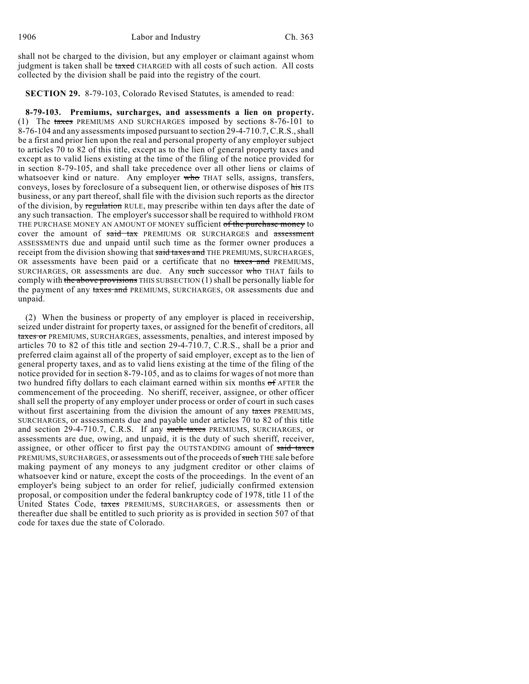shall not be charged to the division, but any employer or claimant against whom judgment is taken shall be taxed CHARGED with all costs of such action. All costs collected by the division shall be paid into the registry of the court.

**SECTION 29.** 8-79-103, Colorado Revised Statutes, is amended to read:

**8-79-103. Premiums, surcharges, and assessments a lien on property.** (1) The taxes PREMIUMS AND SURCHARGES imposed by sections 8-76-101 to 8-76-104 and any assessments imposed pursuant to section 29-4-710.7, C.R.S., shall be a first and prior lien upon the real and personal property of any employer subject to articles 70 to 82 of this title, except as to the lien of general property taxes and except as to valid liens existing at the time of the filing of the notice provided for in section 8-79-105, and shall take precedence over all other liens or claims of whatsoever kind or nature. Any employer who THAT sells, assigns, transfers, conveys, loses by foreclosure of a subsequent lien, or otherwise disposes of his ITS business, or any part thereof, shall file with the division such reports as the director of the division, by regulation RULE, may prescribe within ten days after the date of any such transaction. The employer's successor shall be required to withhold FROM THE PURCHASE MONEY AN AMOUNT OF MONEY sufficient of the purchase money to cover the amount of said tax PREMIUMS OR SURCHARGES and assessment ASSESSMENTS due and unpaid until such time as the former owner produces a receipt from the division showing that said taxes and THE PREMIUMS, SURCHARGES, OR assessments have been paid or a certificate that no taxes and PREMIUMS, SURCHARGES, OR assessments are due. Any such successor  $w$  ho THAT fails to comply with the above provisions THIS SUBSECTION (1) shall be personally liable for the payment of any taxes and PREMIUMS, SURCHARGES, OR assessments due and unpaid.

(2) When the business or property of any employer is placed in receivership, seized under distraint for property taxes, or assigned for the benefit of creditors, all taxes or PREMIUMS, SURCHARGES, assessments, penalties, and interest imposed by articles 70 to 82 of this title and section 29-4-710.7, C.R.S., shall be a prior and preferred claim against all of the property of said employer, except as to the lien of general property taxes, and as to valid liens existing at the time of the filing of the notice provided for in section 8-79-105, and as to claims for wages of not more than two hundred fifty dollars to each claimant earned within six months of AFTER the commencement of the proceeding. No sheriff, receiver, assignee, or other officer shall sell the property of any employer under process or order of court in such cases without first ascertaining from the division the amount of any taxes PREMIUMS, SURCHARGES, or assessments due and payable under articles 70 to 82 of this title and section 29-4-710.7, C.R.S. If any such taxes PREMIUMS, SURCHARGES, or assessments are due, owing, and unpaid, it is the duty of such sheriff, receiver, assignee, or other officer to first pay the OUTSTANDING amount of said taxes PREMIUMS, SURCHARGES, or assessments out of the proceeds of such THE sale before making payment of any moneys to any judgment creditor or other claims of whatsoever kind or nature, except the costs of the proceedings. In the event of an employer's being subject to an order for relief, judicially confirmed extension proposal, or composition under the federal bankruptcy code of 1978, title 11 of the United States Code, taxes PREMIUMS, SURCHARGES, or assessments then or thereafter due shall be entitled to such priority as is provided in section 507 of that code for taxes due the state of Colorado.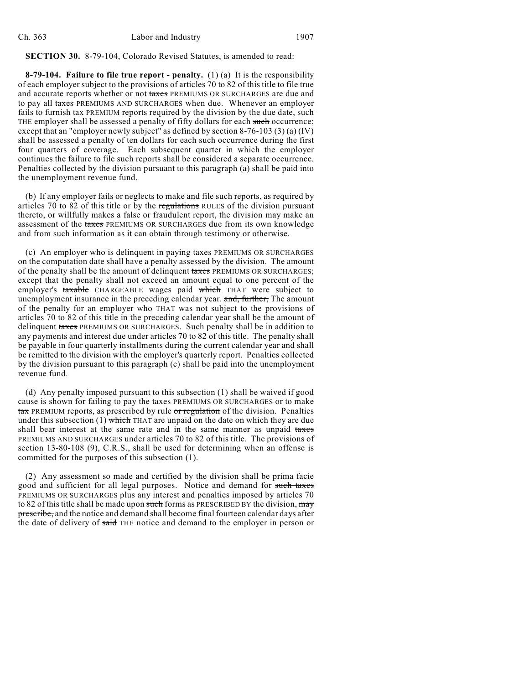#### **SECTION 30.** 8-79-104, Colorado Revised Statutes, is amended to read:

**8-79-104. Failure to file true report - penalty.** (1) (a) It is the responsibility of each employer subject to the provisions of articles 70 to 82 of this title to file true and accurate reports whether or not taxes PREMIUMS OR SURCHARGES are due and to pay all taxes PREMIUMS AND SURCHARGES when due. Whenever an employer fails to furnish  $\frac{1}{4}$  PREMIUM reports required by the division by the due date, such THE employer shall be assessed a penalty of fifty dollars for each such occurrence; except that an "employer newly subject" as defined by section 8-76-103 (3) (a) (IV) shall be assessed a penalty of ten dollars for each such occurrence during the first four quarters of coverage. Each subsequent quarter in which the employer continues the failure to file such reports shall be considered a separate occurrence. Penalties collected by the division pursuant to this paragraph (a) shall be paid into the unemployment revenue fund.

(b) If any employer fails or neglects to make and file such reports, as required by articles 70 to 82 of this title or by the regulations RULES of the division pursuant thereto, or willfully makes a false or fraudulent report, the division may make an assessment of the taxes PREMIUMS OR SURCHARGES due from its own knowledge and from such information as it can obtain through testimony or otherwise.

(c) An employer who is delinquent in paying taxes PREMIUMS OR SURCHARGES on the computation date shall have a penalty assessed by the division. The amount of the penalty shall be the amount of delinquent taxes PREMIUMS OR SURCHARGES; except that the penalty shall not exceed an amount equal to one percent of the employer's taxable CHARGEABLE wages paid which THAT were subject to unemployment insurance in the preceding calendar year. and, further, The amount of the penalty for an employer who THAT was not subject to the provisions of articles 70 to 82 of this title in the preceding calendar year shall be the amount of delinquent taxes PREMIUMS OR SURCHARGES. Such penalty shall be in addition to any payments and interest due under articles 70 to 82 of this title. The penalty shall be payable in four quarterly installments during the current calendar year and shall be remitted to the division with the employer's quarterly report. Penalties collected by the division pursuant to this paragraph (c) shall be paid into the unemployment revenue fund.

(d) Any penalty imposed pursuant to this subsection (1) shall be waived if good cause is shown for failing to pay the taxes PREMIUMS OR SURCHARGES or to make tax PREMIUM reports, as prescribed by rule or regulation of the division. Penalties under this subsection (1) which THAT are unpaid on the date on which they are due shall bear interest at the same rate and in the same manner as unpaid taxes PREMIUMS AND SURCHARGES under articles 70 to 82 of this title. The provisions of section 13-80-108 (9), C.R.S., shall be used for determining when an offense is committed for the purposes of this subsection (1).

(2) Any assessment so made and certified by the division shall be prima facie good and sufficient for all legal purposes. Notice and demand for such taxes PREMIUMS OR SURCHARGES plus any interest and penalties imposed by articles 70 to 82 of this title shall be made upon such forms as PRESCRIBED BY the division, may prescribe, and the notice and demand shall become final fourteen calendar days after the date of delivery of said THE notice and demand to the employer in person or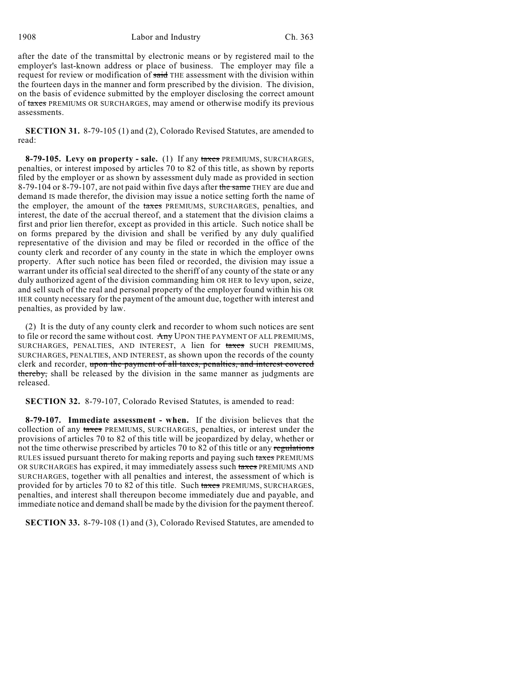after the date of the transmittal by electronic means or by registered mail to the employer's last-known address or place of business. The employer may file a request for review or modification of said THE assessment with the division within the fourteen days in the manner and form prescribed by the division. The division, on the basis of evidence submitted by the employer disclosing the correct amount of taxes PREMIUMS OR SURCHARGES, may amend or otherwise modify its previous assessments.

**SECTION 31.** 8-79-105 (1) and (2), Colorado Revised Statutes, are amended to read:

**8-79-105. Levy on property - sale.** (1) If any taxes PREMIUMS, SURCHARGES, penalties, or interest imposed by articles 70 to 82 of this title, as shown by reports filed by the employer or as shown by assessment duly made as provided in section 8-79-104 or 8-79-107, are not paid within five days after the same THEY are due and demand IS made therefor, the division may issue a notice setting forth the name of the employer, the amount of the taxes PREMIUMS, SURCHARGES, penalties, and interest, the date of the accrual thereof, and a statement that the division claims a first and prior lien therefor, except as provided in this article. Such notice shall be on forms prepared by the division and shall be verified by any duly qualified representative of the division and may be filed or recorded in the office of the county clerk and recorder of any county in the state in which the employer owns property. After such notice has been filed or recorded, the division may issue a warrant under its official seal directed to the sheriff of any county of the state or any duly authorized agent of the division commanding him OR HER to levy upon, seize, and sell such of the real and personal property of the employer found within his OR HER county necessary for the payment of the amount due, together with interest and penalties, as provided by law.

(2) It is the duty of any county clerk and recorder to whom such notices are sent to file or record the same without cost. Any UPON THE PAYMENT OF ALL PREMIUMS, SURCHARGES, PENALTIES, AND INTEREST, A lien for taxes SUCH PREMIUMS, SURCHARGES, PENALTIES, AND INTEREST, as shown upon the records of the county clerk and recorder, upon the payment of all taxes, penalties, and interest covered thereby, shall be released by the division in the same manner as judgments are released.

**SECTION 32.** 8-79-107, Colorado Revised Statutes, is amended to read:

**8-79-107. Immediate assessment - when.** If the division believes that the collection of any taxes PREMIUMS, SURCHARGES, penalties, or interest under the provisions of articles 70 to 82 of this title will be jeopardized by delay, whether or not the time otherwise prescribed by articles 70 to 82 of this title or any regulations RULES issued pursuant thereto for making reports and paying such taxes PREMIUMS OR SURCHARGES has expired, it may immediately assess such taxes PREMIUMS AND SURCHARGES, together with all penalties and interest, the assessment of which is provided for by articles 70 to 82 of this title. Such taxes PREMIUMS, SURCHARGES, penalties, and interest shall thereupon become immediately due and payable, and immediate notice and demand shall be made by the division for the payment thereof.

**SECTION 33.** 8-79-108 (1) and (3), Colorado Revised Statutes, are amended to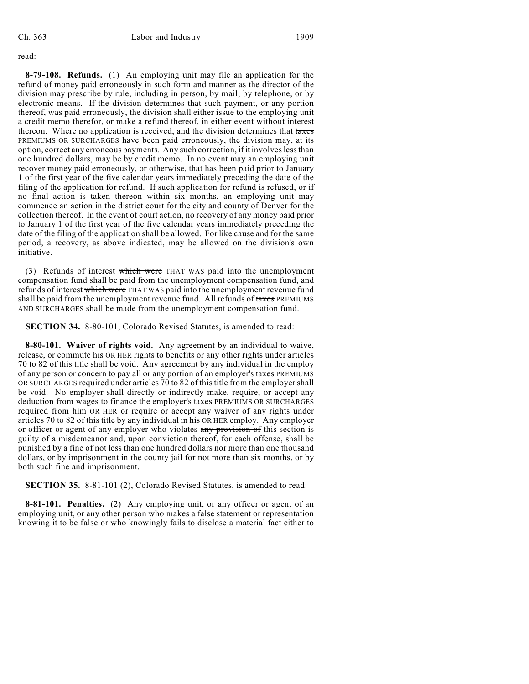read:

**8-79-108. Refunds.** (1) An employing unit may file an application for the refund of money paid erroneously in such form and manner as the director of the division may prescribe by rule, including in person, by mail, by telephone, or by electronic means. If the division determines that such payment, or any portion thereof, was paid erroneously, the division shall either issue to the employing unit a credit memo therefor, or make a refund thereof, in either event without interest thereon. Where no application is received, and the division determines that taxes PREMIUMS OR SURCHARGES have been paid erroneously, the division may, at its option, correct any erroneous payments. Any such correction, if it involves less than one hundred dollars, may be by credit memo. In no event may an employing unit recover money paid erroneously, or otherwise, that has been paid prior to January 1 of the first year of the five calendar years immediately preceding the date of the filing of the application for refund. If such application for refund is refused, or if no final action is taken thereon within six months, an employing unit may commence an action in the district court for the city and county of Denver for the collection thereof. In the event of court action, no recovery of any money paid prior to January 1 of the first year of the five calendar years immediately preceding the date of the filing of the application shall be allowed. For like cause and for the same period, a recovery, as above indicated, may be allowed on the division's own initiative.

(3) Refunds of interest which were THAT WAS paid into the unemployment compensation fund shall be paid from the unemployment compensation fund, and refunds of interest which were THAT WAS paid into the unemployment revenue fund shall be paid from the unemployment revenue fund. All refunds of taxes PREMIUMS AND SURCHARGES shall be made from the unemployment compensation fund.

**SECTION 34.** 8-80-101, Colorado Revised Statutes, is amended to read:

**8-80-101. Waiver of rights void.** Any agreement by an individual to waive, release, or commute his OR HER rights to benefits or any other rights under articles 70 to 82 of this title shall be void. Any agreement by any individual in the employ of any person or concern to pay all or any portion of an employer's taxes PREMIUMS OR SURCHARGES required under articles 70 to 82 of this title from the employer shall be void. No employer shall directly or indirectly make, require, or accept any deduction from wages to finance the employer's taxes PREMIUMS OR SURCHARGES required from him OR HER or require or accept any waiver of any rights under articles 70 to 82 of this title by any individual in his OR HER employ. Any employer or officer or agent of any employer who violates any provision of this section is guilty of a misdemeanor and, upon conviction thereof, for each offense, shall be punished by a fine of not less than one hundred dollars nor more than one thousand dollars, or by imprisonment in the county jail for not more than six months, or by both such fine and imprisonment.

**SECTION 35.** 8-81-101 (2), Colorado Revised Statutes, is amended to read:

**8-81-101. Penalties.** (2) Any employing unit, or any officer or agent of an employing unit, or any other person who makes a false statement or representation knowing it to be false or who knowingly fails to disclose a material fact either to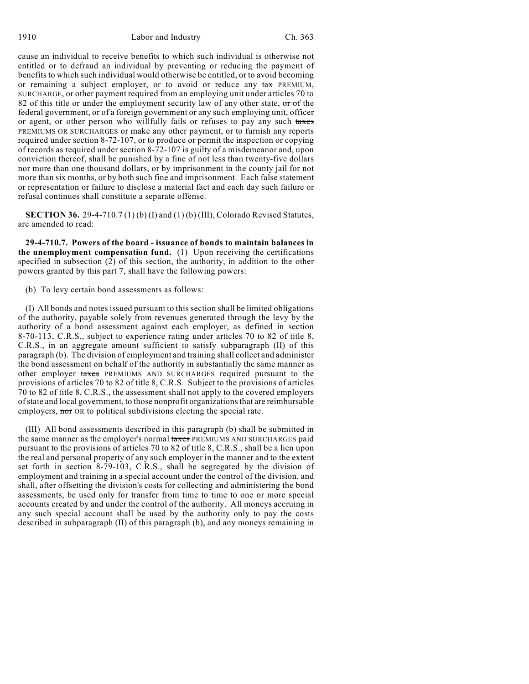cause an individual to receive benefits to which such individual is otherwise not entitled or to defraud an individual by preventing or reducing the payment of benefits to which such individual would otherwise be entitled, or to avoid becoming or remaining a subject employer, or to avoid or reduce any  $\frac{\tan x}{\tan x}$  PREMIUM, SURCHARGE, or other payment required from an employing unit under articles 70 to 82 of this title or under the employment security law of any other state, or of the federal government, or of a foreign government or any such employing unit, officer or agent, or other person who willfully fails or refuses to pay any such taxes PREMIUMS OR SURCHARGES or make any other payment, or to furnish any reports required under section 8-72-107, or to produce or permit the inspection or copying of records as required under section 8-72-107 is guilty of a misdemeanor and, upon conviction thereof, shall be punished by a fine of not less than twenty-five dollars nor more than one thousand dollars, or by imprisonment in the county jail for not more than six months, or by both such fine and imprisonment. Each false statement or representation or failure to disclose a material fact and each day such failure or refusal continues shall constitute a separate offense.

**SECTION 36.** 29-4-710.7 (1) (b) (I) and (1) (b) (III), Colorado Revised Statutes, are amended to read:

**29-4-710.7. Powers of the board - issuance of bonds to maintain balances in the unemployment compensation fund.** (1) Upon receiving the certifications specified in subsection (2) of this section, the authority, in addition to the other powers granted by this part 7, shall have the following powers:

(b) To levy certain bond assessments as follows:

(I) All bonds and notes issued pursuant to this section shall be limited obligations of the authority, payable solely from revenues generated through the levy by the authority of a bond assessment against each employer, as defined in section 8-70-113, C.R.S., subject to experience rating under articles 70 to 82 of title 8, C.R.S., in an aggregate amount sufficient to satisfy subparagraph (II) of this paragraph (b). The division of employment and training shall collect and administer the bond assessment on behalf of the authority in substantially the same manner as other employer taxes PREMIUMS AND SURCHARGES required pursuant to the provisions of articles 70 to 82 of title 8, C.R.S. Subject to the provisions of articles 70 to 82 of title 8, C.R.S., the assessment shall not apply to the covered employers of state and local government, to those nonprofit organizations that are reimbursable employers, nor OR to political subdivisions electing the special rate.

(III) All bond assessments described in this paragraph (b) shall be submitted in the same manner as the employer's normal taxes PREMIUMS AND SURCHARGES paid pursuant to the provisions of articles 70 to 82 of title 8, C.R.S., shall be a lien upon the real and personal property of any such employer in the manner and to the extent set forth in section 8-79-103, C.R.S., shall be segregated by the division of employment and training in a special account under the control of the division, and shall, after offsetting the division's costs for collecting and administering the bond assessments, be used only for transfer from time to time to one or more special accounts created by and under the control of the authority. All moneys accruing in any such special account shall be used by the authority only to pay the costs described in subparagraph (II) of this paragraph (b), and any moneys remaining in